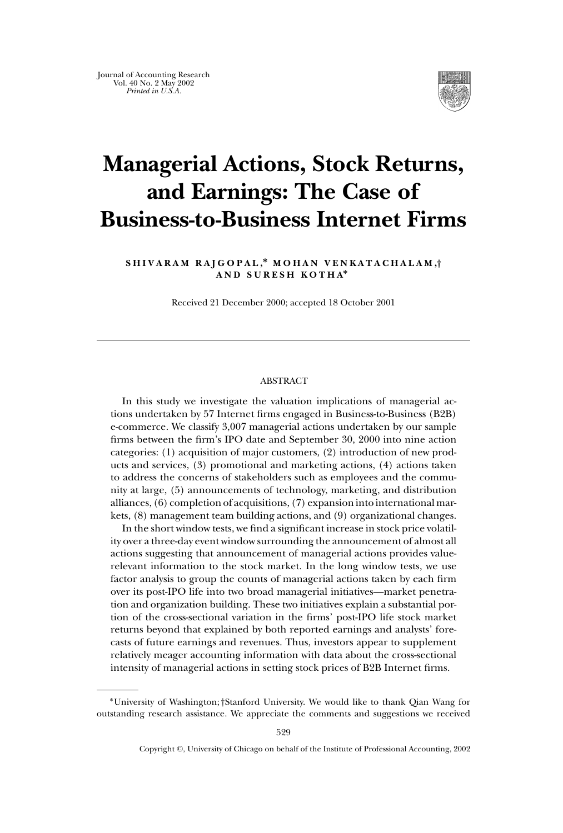

# **Managerial Actions, Stock Returns, and Earnings: The Case of Business-to-Business Internet Firms**

**SHIVARAM RAJGOPAL,***∗* **MOHAN VENKATACHALAM,***†* **AND SURESH KOTHA***∗*

Received 21 December 2000; accepted 18 October 2001

#### ABSTRACT

In this study we investigate the valuation implications of managerial actions undertaken by 57 Internet firms engaged in Business-to-Business (B2B) e-commerce. We classify 3,007 managerial actions undertaken by our sample firms between the firm's IPO date and September 30, 2000 into nine action categories: (1) acquisition of major customers, (2) introduction of new products and services, (3) promotional and marketing actions, (4) actions taken to address the concerns of stakeholders such as employees and the community at large, (5) announcements of technology, marketing, and distribution alliances, (6) completion of acquisitions, (7) expansion into international markets, (8) management team building actions, and (9) organizational changes.

In the short window tests, we find a significant increase in stock price volatility over a three-day event window surrounding the announcement of almost all actions suggesting that announcement of managerial actions provides valuerelevant information to the stock market. In the long window tests, we use factor analysis to group the counts of managerial actions taken by each firm over its post-IPO life into two broad managerial initiatives—market penetration and organization building. These two initiatives explain a substantial portion of the cross-sectional variation in the firms' post-IPO life stock market returns beyond that explained by both reported earnings and analysts' forecasts of future earnings and revenues. Thus, investors appear to supplement relatively meager accounting information with data about the cross-sectional intensity of managerial actions in setting stock prices of B2B Internet firms.

<sup>∗</sup>University of Washington; †Stanford University. We would like to thank Qian Wang for outstanding research assistance. We appreciate the comments and suggestions we received

Copyright ©, University of Chicago on behalf of the Institute of Professional Accounting, 2002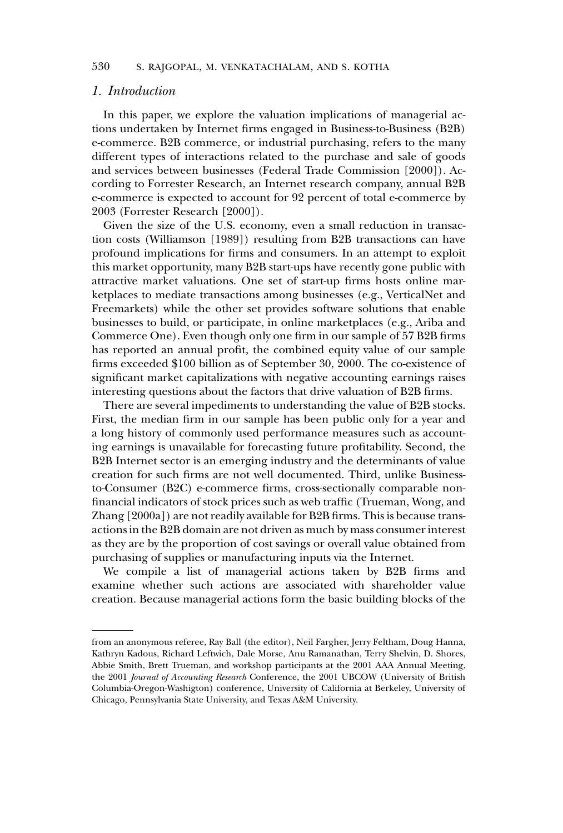## *1. Introduction*

In this paper, we explore the valuation implications of managerial actions undertaken by Internet firms engaged in Business-to-Business (B2B) e-commerce. B2B commerce, or industrial purchasing, refers to the many different types of interactions related to the purchase and sale of goods and services between businesses (Federal Trade Commission [2000]). According to Forrester Research, an Internet research company, annual B2B e-commerce is expected to account for 92 percent of total e-commerce by 2003 (Forrester Research [2000]).

Given the size of the U.S. economy, even a small reduction in transaction costs (Williamson [1989]) resulting from B2B transactions can have profound implications for firms and consumers. In an attempt to exploit this market opportunity, many B2B start-ups have recently gone public with attractive market valuations. One set of start-up firms hosts online marketplaces to mediate transactions among businesses (e.g., VerticalNet and Freemarkets) while the other set provides software solutions that enable businesses to build, or participate, in online marketplaces (e.g., Ariba and Commerce One). Even though only one firm in our sample of 57 B2B firms has reported an annual profit, the combined equity value of our sample firms exceeded \$100 billion as of September 30, 2000. The co-existence of significant market capitalizations with negative accounting earnings raises interesting questions about the factors that drive valuation of B2B firms.

There are several impediments to understanding the value of B2B stocks. First, the median firm in our sample has been public only for a year and a long history of commonly used performance measures such as accounting earnings is unavailable for forecasting future profitability. Second, the B2B Internet sector is an emerging industry and the determinants of value creation for such firms are not well documented. Third, unlike Businessto-Consumer (B2C) e-commerce firms, cross-sectionally comparable nonfinancial indicators of stock prices such as web traffic (Trueman, Wong, and Zhang [2000a]) are not readily available for B2B firms. This is because transactions in the B2B domain are not driven as much by mass consumer interest as they are by the proportion of cost savings or overall value obtained from purchasing of supplies or manufacturing inputs via the Internet.

We compile a list of managerial actions taken by B2B firms and examine whether such actions are associated with shareholder value creation. Because managerial actions form the basic building blocks of the

from an anonymous referee, Ray Ball (the editor), Neil Fargher, Jerry Feltham, Doug Hanna, Kathryn Kadous, Richard Leftwich, Dale Morse, Anu Ramanathan, Terry Shelvin, D. Shores, Abbie Smith, Brett Trueman, and workshop participants at the 2001 AAA Annual Meeting, the 2001 *Journal of Accounting Research* Conference, the 2001 UBCOW (University of British Columbia-Oregon-Washigton) conference, University of California at Berkeley, University of Chicago, Pennsylvania State University, and Texas A&M University.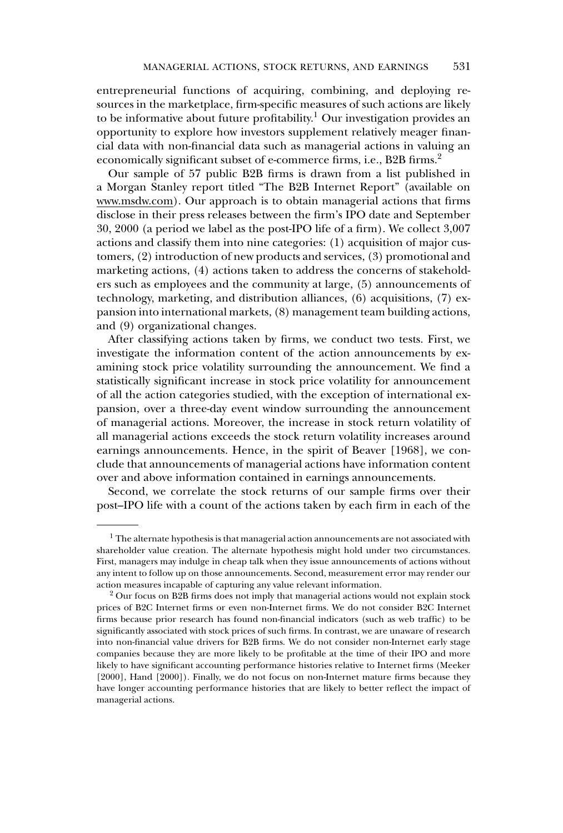entrepreneurial functions of acquiring, combining, and deploying resources in the marketplace, firm-specific measures of such actions are likely to be informative about future profitability.<sup>1</sup> Our investigation provides an opportunity to explore how investors supplement relatively meager financial data with non-financial data such as managerial actions in valuing an economically significant subset of e-commerce firms, i.e., B2B firms.<sup>2</sup>

Our sample of 57 public B2B firms is drawn from a list published in a Morgan Stanley report titled "The B2B Internet Report" (available on www.msdw.com). Our approach is to obtain managerial actions that firms disclose in their press releases between the firm's IPO date and September 30, 2000 (a period we label as the post-IPO life of a firm). We collect 3,007 actions and classify them into nine categories: (1) acquisition of major customers, (2) introduction of new products and services, (3) promotional and marketing actions, (4) actions taken to address the concerns of stakeholders such as employees and the community at large, (5) announcements of technology, marketing, and distribution alliances, (6) acquisitions, (7) expansion into international markets, (8) management team building actions, and (9) organizational changes.

After classifying actions taken by firms, we conduct two tests. First, we investigate the information content of the action announcements by examining stock price volatility surrounding the announcement. We find a statistically significant increase in stock price volatility for announcement of all the action categories studied, with the exception of international expansion, over a three-day event window surrounding the announcement of managerial actions. Moreover, the increase in stock return volatility of all managerial actions exceeds the stock return volatility increases around earnings announcements. Hence, in the spirit of Beaver [1968], we conclude that announcements of managerial actions have information content over and above information contained in earnings announcements.

Second, we correlate the stock returns of our sample firms over their post–IPO life with a count of the actions taken by each firm in each of the

 $1$  The alternate hypothesis is that managerial action announcements are not associated with shareholder value creation. The alternate hypothesis might hold under two circumstances. First, managers may indulge in cheap talk when they issue announcements of actions without any intent to follow up on those announcements. Second, measurement error may render our action measures incapable of capturing any value relevant information.

<sup>&</sup>lt;sup>2</sup> Our focus on B2B firms does not imply that managerial actions would not explain stock prices of B2C Internet firms or even non-Internet firms. We do not consider B2C Internet firms because prior research has found non-financial indicators (such as web traffic) to be significantly associated with stock prices of such firms. In contrast, we are unaware of research into non-financial value drivers for B2B firms. We do not consider non-Internet early stage companies because they are more likely to be profitable at the time of their IPO and more likely to have significant accounting performance histories relative to Internet firms (Meeker [2000], Hand [2000]). Finally, we do not focus on non-Internet mature firms because they have longer accounting performance histories that are likely to better reflect the impact of managerial actions.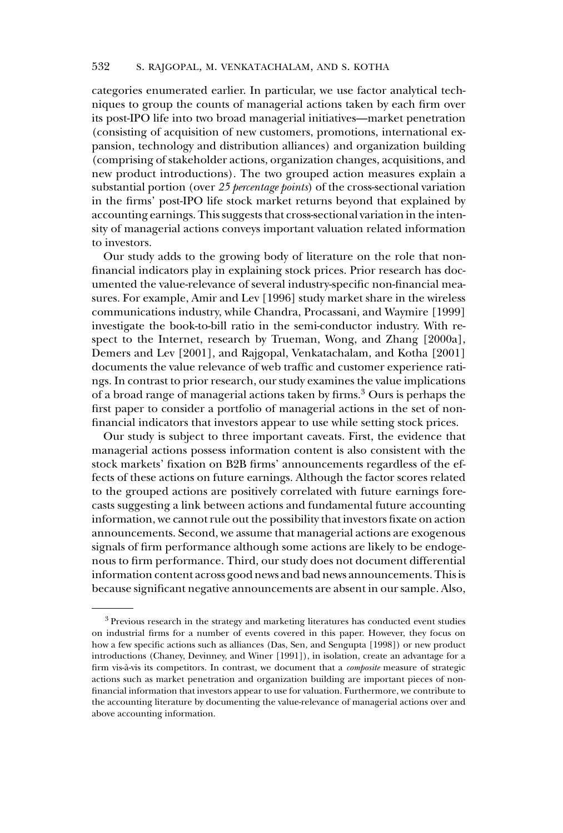categories enumerated earlier. In particular, we use factor analytical techniques to group the counts of managerial actions taken by each firm over its post-IPO life into two broad managerial initiatives—market penetration (consisting of acquisition of new customers, promotions, international expansion, technology and distribution alliances) and organization building (comprising of stakeholder actions, organization changes, acquisitions, and new product introductions). The two grouped action measures explain a substantial portion (over *25 percentage points*) of the cross-sectional variation in the firms' post-IPO life stock market returns beyond that explained by accounting earnings. This suggests that cross-sectional variation in the intensity of managerial actions conveys important valuation related information to investors.

Our study adds to the growing body of literature on the role that nonfinancial indicators play in explaining stock prices. Prior research has documented the value-relevance of several industry-specific non-financial measures. For example, Amir and Lev [1996] study market share in the wireless communications industry, while Chandra, Procassani, and Waymire [1999] investigate the book-to-bill ratio in the semi-conductor industry. With respect to the Internet, research by Trueman, Wong, and Zhang [2000a], Demers and Lev [2001], and Rajgopal, Venkatachalam, and Kotha [2001] documents the value relevance of web traffic and customer experience ratings. In contrast to prior research, our study examines the value implications of a broad range of managerial actions taken by firms.<sup>3</sup> Ours is perhaps the first paper to consider a portfolio of managerial actions in the set of nonfinancial indicators that investors appear to use while setting stock prices.

Our study is subject to three important caveats. First, the evidence that managerial actions possess information content is also consistent with the stock markets' fixation on B2B firms' announcements regardless of the effects of these actions on future earnings. Although the factor scores related to the grouped actions are positively correlated with future earnings forecasts suggesting a link between actions and fundamental future accounting information, we cannot rule out the possibility that investors fixate on action announcements. Second, we assume that managerial actions are exogenous signals of firm performance although some actions are likely to be endogenous to firm performance. Third, our study does not document differential information content across good news and bad news announcements. This is because significant negative announcements are absent in our sample. Also,

<sup>3</sup> Previous research in the strategy and marketing literatures has conducted event studies on industrial firms for a number of events covered in this paper. However, they focus on how a few specific actions such as alliances (Das, Sen, and Sengupta [1998]) or new product introductions (Chaney, Devinney, and Winer [1991]), in isolation, create an advantage for a firm vis-à-vis its competitors. In contrast, we document that a *composite* measure of strategic actions such as market penetration and organization building are important pieces of nonfinancial information that investors appear to use for valuation. Furthermore, we contribute to the accounting literature by documenting the value-relevance of managerial actions over and above accounting information.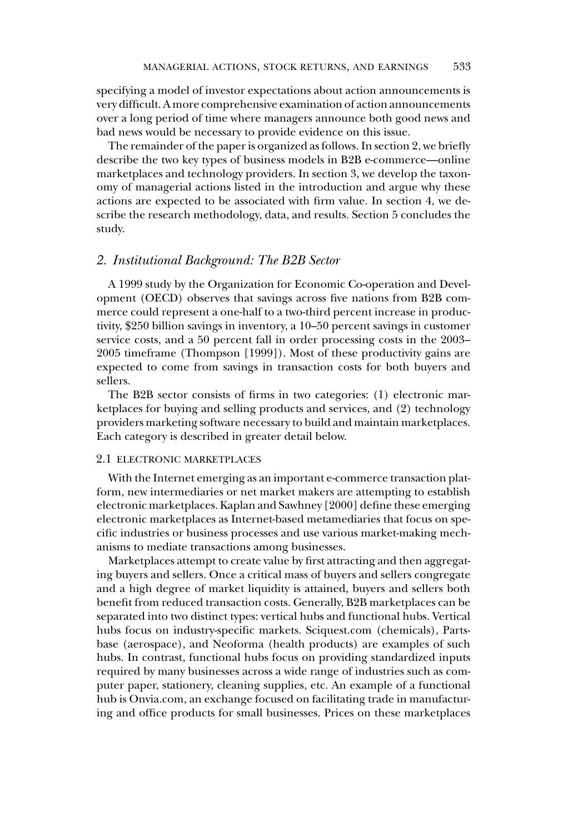specifying a model of investor expectations about action announcements is very difficult. A more comprehensive examination of action announcements over a long period of time where managers announce both good news and bad news would be necessary to provide evidence on this issue.

The remainder of the paper is organized as follows. In section 2, we briefly describe the two key types of business models in B2B e-commerce—online marketplaces and technology providers. In section 3, we develop the taxonomy of managerial actions listed in the introduction and argue why these actions are expected to be associated with firm value. In section 4, we describe the research methodology, data, and results. Section 5 concludes the study.

## *2. Institutional Background: The B2B Sector*

A 1999 study by the Organization for Economic Co-operation and Development (OECD) observes that savings across five nations from B2B commerce could represent a one-half to a two-third percent increase in productivity, \$250 billion savings in inventory, a 10–50 percent savings in customer service costs, and a 50 percent fall in order processing costs in the 2003– 2005 timeframe (Thompson [1999]). Most of these productivity gains are expected to come from savings in transaction costs for both buyers and sellers.

The B2B sector consists of firms in two categories: (1) electronic marketplaces for buying and selling products and services, and (2) technology providers marketing software necessary to build and maintain marketplaces. Each category is described in greater detail below.

## 2.1 ELECTRONIC MARKETPLACES

With the Internet emerging as an important e-commerce transaction platform, new intermediaries or net market makers are attempting to establish electronic marketplaces. Kaplan and Sawhney [2000] define these emerging electronic marketplaces as Internet-based metamediaries that focus on specific industries or business processes and use various market-making mechanisms to mediate transactions among businesses.

Marketplaces attempt to create value by first attracting and then aggregating buyers and sellers. Once a critical mass of buyers and sellers congregate and a high degree of market liquidity is attained, buyers and sellers both benefit from reduced transaction costs. Generally, B2B marketplaces can be separated into two distinct types: vertical hubs and functional hubs. Vertical hubs focus on industry-specific markets. Sciquest.com (chemicals), Partsbase (aerospace), and Neoforma (health products) are examples of such hubs. In contrast, functional hubs focus on providing standardized inputs required by many businesses across a wide range of industries such as computer paper, stationery, cleaning supplies, etc. An example of a functional hub is Onvia.com, an exchange focused on facilitating trade in manufacturing and office products for small businesses. Prices on these marketplaces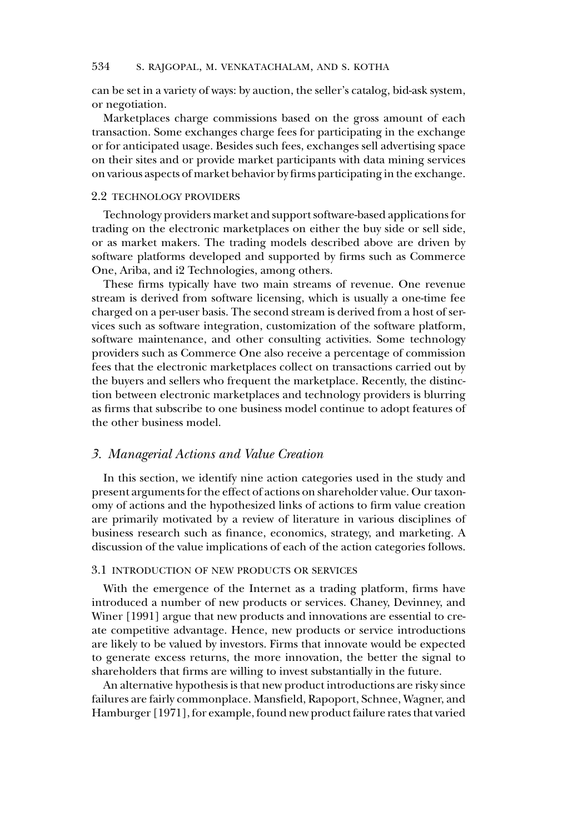can be set in a variety of ways: by auction, the seller's catalog, bid-ask system, or negotiation.

Marketplaces charge commissions based on the gross amount of each transaction. Some exchanges charge fees for participating in the exchange or for anticipated usage. Besides such fees, exchanges sell advertising space on their sites and or provide market participants with data mining services on various aspects of market behavior by firms participating in the exchange.

## 2.2 TECHNOLOGY PROVIDERS

Technology providers market and support software-based applications for trading on the electronic marketplaces on either the buy side or sell side, or as market makers. The trading models described above are driven by software platforms developed and supported by firms such as Commerce One, Ariba, and i2 Technologies, among others.

These firms typically have two main streams of revenue. One revenue stream is derived from software licensing, which is usually a one-time fee charged on a per-user basis. The second stream is derived from a host of services such as software integration, customization of the software platform, software maintenance, and other consulting activities. Some technology providers such as Commerce One also receive a percentage of commission fees that the electronic marketplaces collect on transactions carried out by the buyers and sellers who frequent the marketplace. Recently, the distinction between electronic marketplaces and technology providers is blurring as firms that subscribe to one business model continue to adopt features of the other business model.

## *3. Managerial Actions and Value Creation*

In this section, we identify nine action categories used in the study and present arguments for the effect of actions on shareholder value. Our taxonomy of actions and the hypothesized links of actions to firm value creation are primarily motivated by a review of literature in various disciplines of business research such as finance, economics, strategy, and marketing. A discussion of the value implications of each of the action categories follows.

## 3.1 INTRODUCTION OF NEW PRODUCTS OR SERVICES

With the emergence of the Internet as a trading platform, firms have introduced a number of new products or services. Chaney, Devinney, and Winer [1991] argue that new products and innovations are essential to create competitive advantage. Hence, new products or service introductions are likely to be valued by investors. Firms that innovate would be expected to generate excess returns, the more innovation, the better the signal to shareholders that firms are willing to invest substantially in the future.

An alternative hypothesis is that new product introductions are risky since failures are fairly commonplace. Mansfield, Rapoport, Schnee, Wagner, and Hamburger [1971], for example, found new product failure rates that varied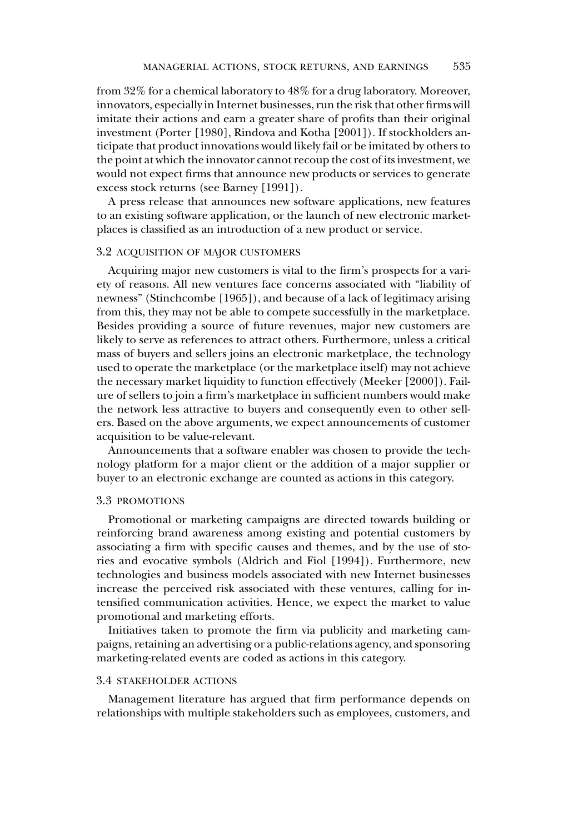from 32% for a chemical laboratory to 48% for a drug laboratory. Moreover, innovators, especially in Internet businesses, run the risk that other firms will imitate their actions and earn a greater share of profits than their original investment (Porter [1980], Rindova and Kotha [2001]). If stockholders anticipate that product innovations would likely fail or be imitated by others to the point at which the innovator cannot recoup the cost of its investment, we would not expect firms that announce new products or services to generate excess stock returns (see Barney [1991]).

A press release that announces new software applications, new features to an existing software application, or the launch of new electronic marketplaces is classified as an introduction of a new product or service.

#### 3.2 ACQUISITION OF MAJOR CUSTOMERS

Acquiring major new customers is vital to the firm's prospects for a variety of reasons. All new ventures face concerns associated with "liability of newness" (Stinchcombe [1965]), and because of a lack of legitimacy arising from this, they may not be able to compete successfully in the marketplace. Besides providing a source of future revenues, major new customers are likely to serve as references to attract others. Furthermore, unless a critical mass of buyers and sellers joins an electronic marketplace, the technology used to operate the marketplace (or the marketplace itself) may not achieve the necessary market liquidity to function effectively (Meeker [2000]). Failure of sellers to join a firm's marketplace in sufficient numbers would make the network less attractive to buyers and consequently even to other sellers. Based on the above arguments, we expect announcements of customer acquisition to be value-relevant.

Announcements that a software enabler was chosen to provide the technology platform for a major client or the addition of a major supplier or buyer to an electronic exchange are counted as actions in this category.

## 3.3 PROMOTIONS

Promotional or marketing campaigns are directed towards building or reinforcing brand awareness among existing and potential customers by associating a firm with specific causes and themes, and by the use of stories and evocative symbols (Aldrich and Fiol [1994]). Furthermore, new technologies and business models associated with new Internet businesses increase the perceived risk associated with these ventures, calling for intensified communication activities. Hence, we expect the market to value promotional and marketing efforts.

Initiatives taken to promote the firm via publicity and marketing campaigns, retaining an advertising or a public-relations agency, and sponsoring marketing-related events are coded as actions in this category.

#### 3.4 STAKEHOLDER ACTIONS

Management literature has argued that firm performance depends on relationships with multiple stakeholders such as employees, customers, and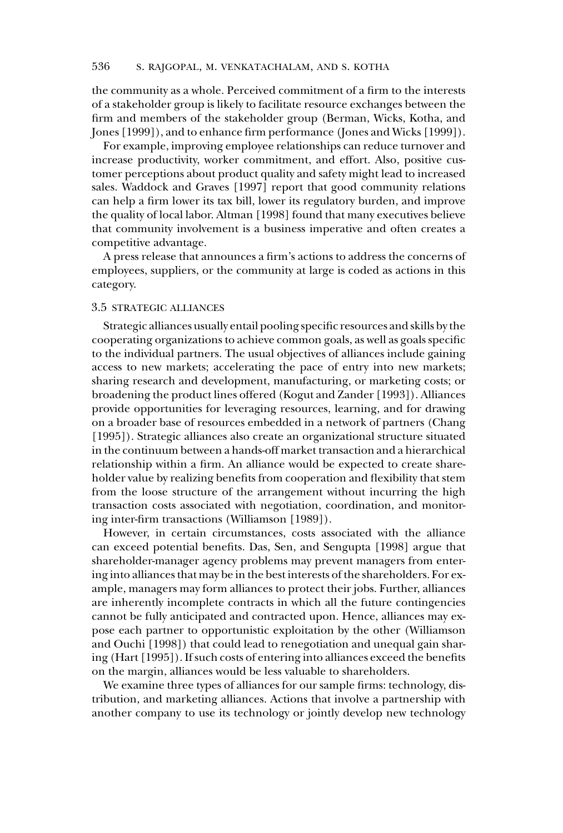the community as a whole. Perceived commitment of a firm to the interests of a stakeholder group is likely to facilitate resource exchanges between the firm and members of the stakeholder group (Berman, Wicks, Kotha, and Jones [1999]), and to enhance firm performance (Jones and Wicks [1999]).

For example, improving employee relationships can reduce turnover and increase productivity, worker commitment, and effort. Also, positive customer perceptions about product quality and safety might lead to increased sales. Waddock and Graves [1997] report that good community relations can help a firm lower its tax bill, lower its regulatory burden, and improve the quality of local labor. Altman [1998] found that many executives believe that community involvement is a business imperative and often creates a competitive advantage.

A press release that announces a firm's actions to address the concerns of employees, suppliers, or the community at large is coded as actions in this category.

## 3.5 STRATEGIC ALLIANCES

Strategic alliances usually entail pooling specific resources and skills by the cooperating organizations to achieve common goals, as well as goals specific to the individual partners. The usual objectives of alliances include gaining access to new markets; accelerating the pace of entry into new markets; sharing research and development, manufacturing, or marketing costs; or broadening the product lines offered (Kogut and Zander [1993]). Alliances provide opportunities for leveraging resources, learning, and for drawing on a broader base of resources embedded in a network of partners (Chang [1995]). Strategic alliances also create an organizational structure situated in the continuum between a hands-off market transaction and a hierarchical relationship within a firm. An alliance would be expected to create shareholder value by realizing benefits from cooperation and flexibility that stem from the loose structure of the arrangement without incurring the high transaction costs associated with negotiation, coordination, and monitoring inter-firm transactions (Williamson [1989]).

However, in certain circumstances, costs associated with the alliance can exceed potential benefits. Das, Sen, and Sengupta [1998] argue that shareholder-manager agency problems may prevent managers from entering into alliances that may be in the best interests of the shareholders. For example, managers may form alliances to protect their jobs. Further, alliances are inherently incomplete contracts in which all the future contingencies cannot be fully anticipated and contracted upon. Hence, alliances may expose each partner to opportunistic exploitation by the other (Williamson and Ouchi [1998]) that could lead to renegotiation and unequal gain sharing (Hart [1995]). If such costs of entering into alliances exceed the benefits on the margin, alliances would be less valuable to shareholders.

We examine three types of alliances for our sample firms: technology, distribution, and marketing alliances. Actions that involve a partnership with another company to use its technology or jointly develop new technology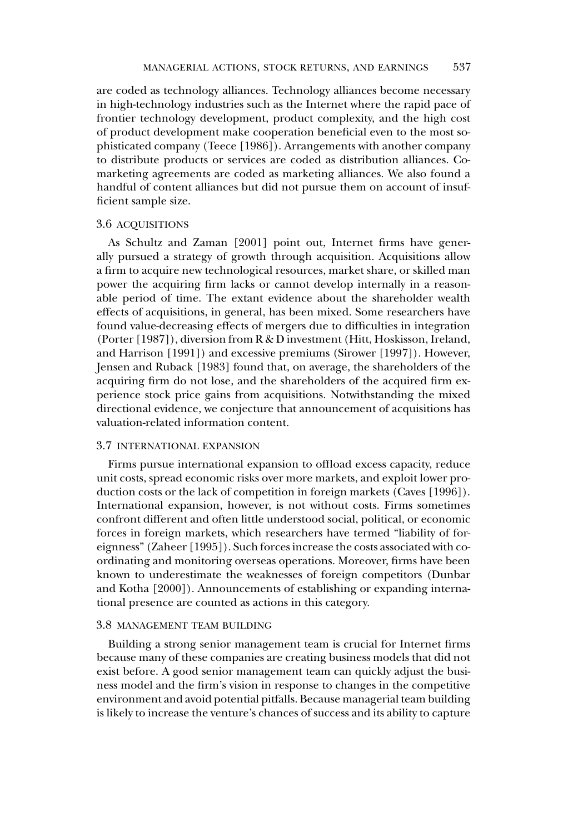are coded as technology alliances. Technology alliances become necessary in high-technology industries such as the Internet where the rapid pace of frontier technology development, product complexity, and the high cost of product development make cooperation beneficial even to the most sophisticated company (Teece [1986]). Arrangements with another company to distribute products or services are coded as distribution alliances. Comarketing agreements are coded as marketing alliances. We also found a handful of content alliances but did not pursue them on account of insufficient sample size.

## 3.6 ACQUISITIONS

As Schultz and Zaman [2001] point out, Internet firms have generally pursued a strategy of growth through acquisition. Acquisitions allow a firm to acquire new technological resources, market share, or skilled man power the acquiring firm lacks or cannot develop internally in a reasonable period of time. The extant evidence about the shareholder wealth effects of acquisitions, in general, has been mixed. Some researchers have found value-decreasing effects of mergers due to difficulties in integration (Porter [1987]), diversion from R & D investment (Hitt, Hoskisson, Ireland, and Harrison [1991]) and excessive premiums (Sirower [1997]). However, Jensen and Ruback [1983] found that, on average, the shareholders of the acquiring firm do not lose, and the shareholders of the acquired firm experience stock price gains from acquisitions. Notwithstanding the mixed directional evidence, we conjecture that announcement of acquisitions has valuation-related information content.

## 3.7 INTERNATIONAL EXPANSION

Firms pursue international expansion to offload excess capacity, reduce unit costs, spread economic risks over more markets, and exploit lower production costs or the lack of competition in foreign markets (Caves [1996]). International expansion, however, is not without costs. Firms sometimes confront different and often little understood social, political, or economic forces in foreign markets, which researchers have termed "liability of foreignness" (Zaheer [1995]). Such forces increase the costs associated with coordinating and monitoring overseas operations. Moreover, firms have been known to underestimate the weaknesses of foreign competitors (Dunbar and Kotha [2000]). Announcements of establishing or expanding international presence are counted as actions in this category.

#### 3.8 MANAGEMENT TEAM BUILDING

Building a strong senior management team is crucial for Internet firms because many of these companies are creating business models that did not exist before. A good senior management team can quickly adjust the business model and the firm's vision in response to changes in the competitive environment and avoid potential pitfalls. Because managerial team building is likely to increase the venture's chances of success and its ability to capture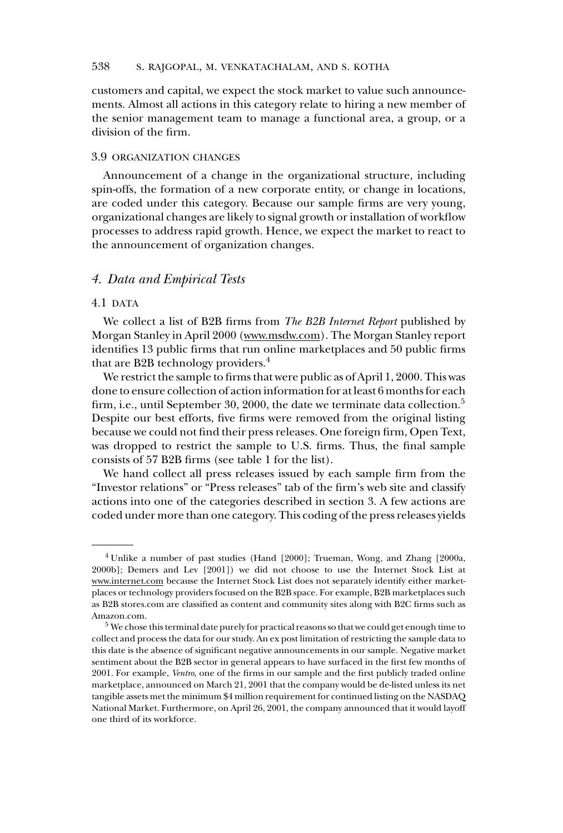customers and capital, we expect the stock market to value such announcements. Almost all actions in this category relate to hiring a new member of the senior management team to manage a functional area, a group, or a division of the firm.

## 3.9 ORGANIZATION CHANGES

Announcement of a change in the organizational structure, including spin-offs, the formation of a new corporate entity, or change in locations, are coded under this category. Because our sample firms are very young, organizational changes are likely to signal growth or installation of workflow processes to address rapid growth. Hence, we expect the market to react to the announcement of organization changes.

## *4. Data and Empirical Tests*

## 4.1 DATA

We collect a list of B2B firms from *The B2B Internet Report* published by Morgan Stanley in April 2000 (www.msdw.com). The Morgan Stanley report identifies 13 public firms that run online marketplaces and 50 public firms that are B2B technology providers. $4$ 

We restrict the sample to firms that were public as of April 1, 2000. This was done to ensure collection of action information for at least 6 months for each firm, i.e., until September 30, 2000, the date we terminate data collection.<sup>5</sup> Despite our best efforts, five firms were removed from the original listing because we could not find their press releases. One foreign firm, Open Text, was dropped to restrict the sample to U.S. firms. Thus, the final sample consists of 57 B2B firms (see table 1 for the list).

We hand collect all press releases issued by each sample firm from the "Investor relations" or "Press releases" tab of the firm's web site and classify actions into one of the categories described in section 3. A few actions are coded under more than one category. This coding of the press releases yields

<sup>4</sup> Unlike a number of past studies (Hand [2000]; Trueman, Wong, and Zhang [2000a, 2000b]; Demers and Lev [2001]) we did not choose to use the Internet Stock List at www.internet.com because the Internet Stock List does not separately identify either marketplaces or technology providers focused on the B2B space. For example, B2B marketplaces such as B2B stores.com are classified as content and community sites along with B2C firms such as Amazon.com.

<sup>5</sup> We chose this terminal date purely for practical reasons so that we could get enough time to collect and process the data for our study. An ex post limitation of restricting the sample data to this date is the absence of significant negative announcements in our sample. Negative market sentiment about the B2B sector in general appears to have surfaced in the first few months of 2001. For example, *Ventro*, one of the firms in our sample and the first publicly traded online marketplace, announced on March 21, 2001 that the company would be de-listed unless its net tangible assets met the minimum \$4 million requirement for continued listing on the NASDAQ National Market. Furthermore, on April 26, 2001, the company announced that it would layoff one third of its workforce.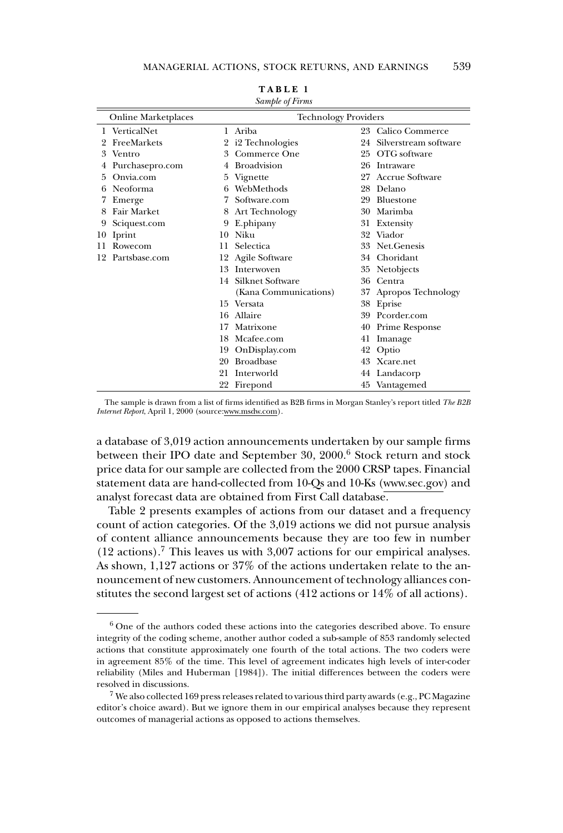|    | <b>Online Marketplaces</b><br><b>Technology Providers</b> |    |                       |    |                        |  |  |
|----|-----------------------------------------------------------|----|-----------------------|----|------------------------|--|--|
|    | VerticalNet                                               | 1. | Ariba                 |    | 23 Calico Commerce     |  |  |
|    | FreeMarkets                                               | 2  | i2 Technologies       | 24 | Silverstream software  |  |  |
| 3  | Ventro                                                    | 3  | Commerce One          | 25 | OTG software           |  |  |
|    | Purchasepro.com                                           | 4  | <b>Broadvision</b>    | 26 | Intraware              |  |  |
| b. | Onvia.com                                                 | 5. | Vignette              | 27 | <b>Accrue Software</b> |  |  |
|    | Neoforma                                                  | 6  | WebMethods            | 28 | Delano                 |  |  |
|    | Emerge                                                    | 7  | Software.com          | 29 | <b>Bluestone</b>       |  |  |
|    | <b>Fair Market</b>                                        | 8  | Art Technology        | 30 | Marimba                |  |  |
| 9  | Sciquest.com                                              | 9  | E.phipany             | 31 | Extensity              |  |  |
| 10 | Iprint                                                    | 10 | Niku                  |    | 32 Viador              |  |  |
|    | Rowecom                                                   | 11 | Selectica             | 33 | Net.Genesis            |  |  |
| 12 | Partsbase.com                                             |    | 12 Agile Software     |    | 34 Choridant           |  |  |
|    |                                                           | 13 | Interwoven            |    | 35 Netobjects          |  |  |
|    |                                                           | 14 | Silknet Software      |    | 36 Centra              |  |  |
|    |                                                           |    | (Kana Communications) |    | 37 Apropos Technology  |  |  |
|    |                                                           | 15 | Versata               |    | 38 Eprise              |  |  |
|    |                                                           | 16 | Allaire               | 39 | Pcorder.com            |  |  |
|    |                                                           | 17 | Matrixone             |    | 40 Prime Response      |  |  |
|    |                                                           | 18 | Mcafee.com            | 41 | Imanage                |  |  |
|    |                                                           | 19 | OnDisplay.com         |    | 42 Optio               |  |  |
|    |                                                           | 20 | <b>Broadbase</b>      | 43 | Xcare.net              |  |  |
|    |                                                           | 21 | Interworld            |    | 44 Landacorp           |  |  |
|    |                                                           |    | 22 Firepond           |    | 45 Vantagemed          |  |  |

**TABLE 1** *Sample of Firms*

The sample is drawn from a list of firms identified as B2B firms in Morgan Stanley's report titled *The B2B Internet Report*, April 1, 2000 (source:www.msdw.com).

a database of 3,019 action announcements undertaken by our sample firms between their IPO date and September 30, 2000.<sup>6</sup> Stock return and stock price data for our sample are collected from the 2000 CRSP tapes. Financial statement data are hand-collected from 10-Qs and 10-Ks (www.sec.gov) and analyst forecast data are obtained from First Call database.

Table 2 presents examples of actions from our dataset and a frequency count of action categories. Of the 3,019 actions we did not pursue analysis of content alliance announcements because they are too few in number  $(12 \text{ actions})$ .<sup>7</sup> This leaves us with 3,007 actions for our empirical analyses. As shown, 1,127 actions or 37% of the actions undertaken relate to the announcement of new customers. Announcement of technology alliances constitutes the second largest set of actions (412 actions or 14% of all actions).

 $6$  One of the authors coded these actions into the categories described above. To ensure integrity of the coding scheme, another author coded a sub-sample of 853 randomly selected actions that constitute approximately one fourth of the total actions. The two coders were in agreement 85% of the time. This level of agreement indicates high levels of inter-coder reliability (Miles and Huberman [1984]). The initial differences between the coders were resolved in discussions.

<sup>&</sup>lt;sup>7</sup> We also collected 169 press releases related to various third party awards (e.g., PC Magazine editor's choice award). But we ignore them in our empirical analyses because they represent outcomes of managerial actions as opposed to actions themselves.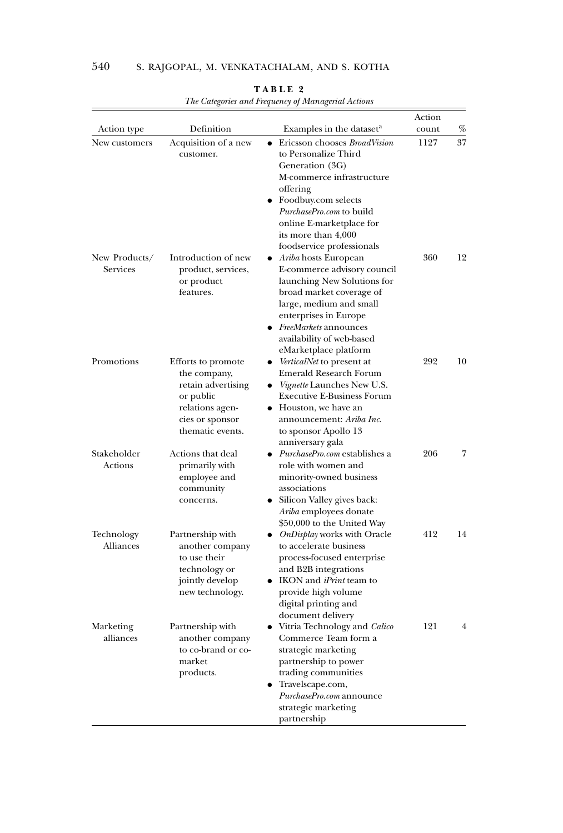|                           |                                                                                                                                 |                                                                                                                                                                                                                                                                             | Action |                |
|---------------------------|---------------------------------------------------------------------------------------------------------------------------------|-----------------------------------------------------------------------------------------------------------------------------------------------------------------------------------------------------------------------------------------------------------------------------|--------|----------------|
| Action type               | Definition                                                                                                                      | Examples in the dataset <sup>a</sup>                                                                                                                                                                                                                                        | count  | %              |
| New customers             | Acquisition of a new<br>customer.                                                                                               | Ericsson chooses <i>BroadVision</i><br>to Personalize Third<br>Generation (3G)<br>M-commerce infrastructure<br>offering<br>• Foodbuy.com selects<br>PurchasePro.com to build<br>online E-marketplace for<br>its more than 4,000<br>foodservice professionals                | 1127   | 37             |
| New Products/<br>Services | Introduction of new<br>product, services,<br>or product<br>features.                                                            | • <i>Ariba</i> hosts European<br>E-commerce advisory council<br>launching New Solutions for<br>broad market coverage of<br>large, medium and small<br>enterprises in Europe<br>$\bullet$ <i>FreeMarkets</i> announces<br>availability of web-based<br>eMarketplace platform | 360    | 12             |
| Promotions                | Efforts to promote<br>the company,<br>retain advertising<br>or public<br>relations agen-<br>cies or sponsor<br>thematic events. | • VerticalNet to present at<br>Emerald Research Forum<br>• <i>Vignette</i> Launches New U.S.<br><b>Executive E-Business Forum</b><br>$\bullet$ Houston, we have an<br>announcement: Ariba Inc.<br>to sponsor Apollo 13<br>anniversary gala                                  | 292    | 10             |
| Stakeholder<br>Actions    | Actions that deal<br>primarily with<br>employee and<br>community<br>concerns.                                                   | $\bullet$ <i>PurchasePro.com</i> establishes a<br>role with women and<br>minority-owned business<br>associations<br>• Silicon Valley gives back:<br>Ariba employees donate<br>\$50,000 to the United Way                                                                    | 206    | 7              |
| Technology<br>Alliances   | Partnership with<br>another company<br>to use their<br>technology or<br>jointly develop<br>new technology.                      | <i>OnDisplay</i> works with Oracle<br>to accelerate business<br>process-focused enterprise<br>and B2B integrations<br>IKON and <i>iPrint</i> team to<br>provide high volume<br>digital printing and<br>document delivery                                                    | 412    | 14             |
| Marketing<br>alliances    | Partnership with<br>another company<br>to co-brand or co-<br>market<br>products.                                                | Vitria Technology and Calico<br>Commerce Team form a<br>strategic marketing<br>partnership to power<br>trading communities<br>• Travelscape.com,<br>PurchasePro.com announce<br>strategic marketing<br>partnership                                                          | 121    | $\overline{4}$ |

**TABLE 2** *The Categories and Frequency of Managerial Actions*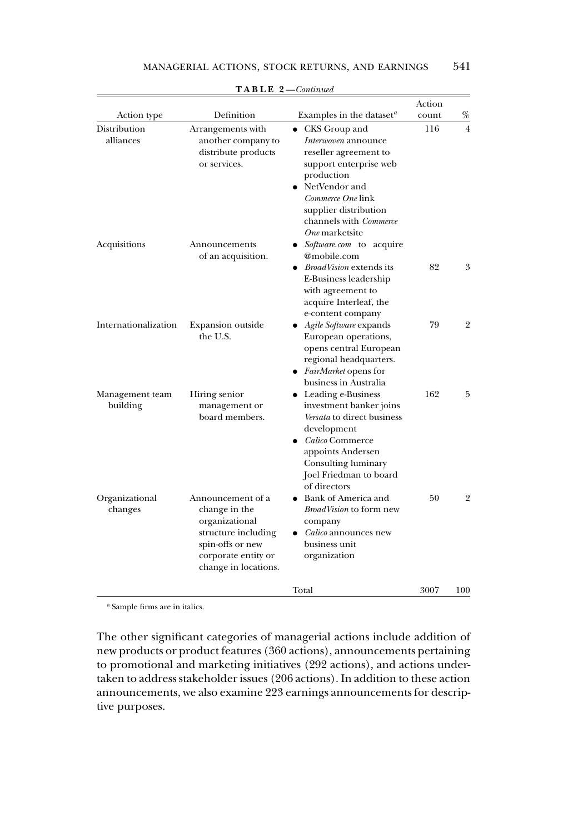|                             |                                                                                                                                                |                                                                                                                                                                                                                      | Action |                |
|-----------------------------|------------------------------------------------------------------------------------------------------------------------------------------------|----------------------------------------------------------------------------------------------------------------------------------------------------------------------------------------------------------------------|--------|----------------|
| Action type                 | Definition                                                                                                                                     | Examples in the dataset <sup><math>a</math></sup>                                                                                                                                                                    | count  | %              |
| Distribution<br>alliances   | Arrangements with<br>another company to<br>distribute products<br>or services.                                                                 | • CKS Group and<br>Interwoven announce<br>reseller agreement to<br>support enterprise web<br>production<br>• NetVendor and<br>Commerce One link<br>supplier distribution<br>channels with Commerce<br>One marketsite | 116    | $\overline{4}$ |
| Acquisitions                | Announcements<br>of an acquisition.                                                                                                            | • Software.com to acquire<br>@mobile.com<br><i>BroadVision</i> extends its<br>E-Business leadership<br>with agreement to<br>acquire Interleaf, the<br>e-content company                                              | 82     | 3              |
| Internationalization        | <b>Expansion</b> outside<br>the U.S.                                                                                                           | Agile Software expands<br>European operations,<br>opens central European<br>regional headquarters.<br>• FairMarket opens for<br>business in Australia                                                                | 79     | $\overline{2}$ |
| Management team<br>building | Hiring senior<br>management or<br>board members.                                                                                               | • Leading e-Business<br>investment banker joins<br>Versata to direct business<br>development<br>Calico Commerce<br>appoints Andersen<br>Consulting luminary<br>Joel Friedman to board<br>of directors                | 162    | 5              |
| Organizational<br>changes   | Announcement of a<br>change in the<br>organizational<br>structure including<br>spin-offs or new<br>corporate entity or<br>change in locations. | • Bank of America and<br>BroadVision to form new<br>company<br><i>Calico</i> announces new<br>$\bullet$<br>business unit<br>organization                                                                             | 50     | $\overline{2}$ |
|                             |                                                                                                                                                | Total                                                                                                                                                                                                                | 3007   | 100            |

**TABLE 2—***Continued*

<sup>a</sup> Sample firms are in italics.

The other significant categories of managerial actions include addition of new products or product features (360 actions), announcements pertaining to promotional and marketing initiatives (292 actions), and actions undertaken to address stakeholder issues (206 actions). In addition to these action announcements, we also examine 223 earnings announcements for descriptive purposes.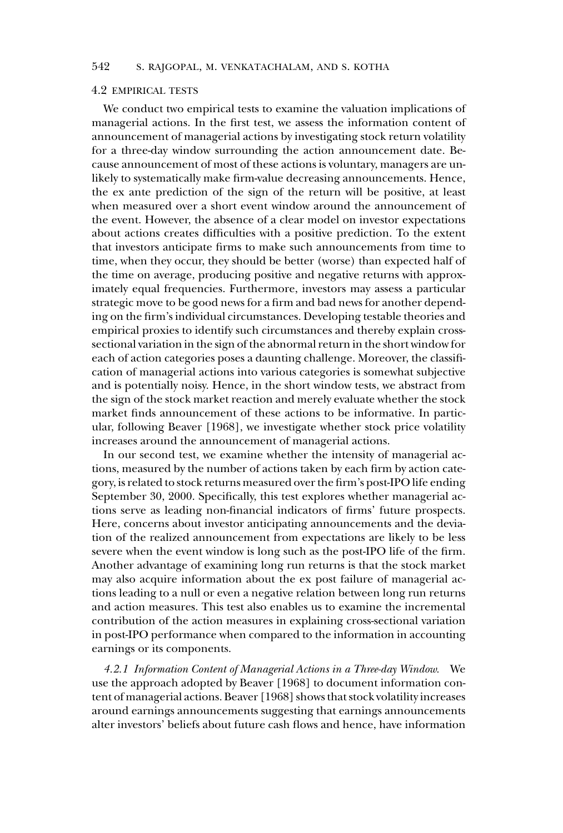#### 4.2 EMPIRICAL TESTS

We conduct two empirical tests to examine the valuation implications of managerial actions. In the first test, we assess the information content of announcement of managerial actions by investigating stock return volatility for a three-day window surrounding the action announcement date. Because announcement of most of these actions is voluntary, managers are unlikely to systematically make firm-value decreasing announcements. Hence, the ex ante prediction of the sign of the return will be positive, at least when measured over a short event window around the announcement of the event. However, the absence of a clear model on investor expectations about actions creates difficulties with a positive prediction. To the extent that investors anticipate firms to make such announcements from time to time, when they occur, they should be better (worse) than expected half of the time on average, producing positive and negative returns with approximately equal frequencies. Furthermore, investors may assess a particular strategic move to be good news for a firm and bad news for another depending on the firm's individual circumstances. Developing testable theories and empirical proxies to identify such circumstances and thereby explain crosssectional variation in the sign of the abnormal return in the short window for each of action categories poses a daunting challenge. Moreover, the classification of managerial actions into various categories is somewhat subjective and is potentially noisy. Hence, in the short window tests, we abstract from the sign of the stock market reaction and merely evaluate whether the stock market finds announcement of these actions to be informative. In particular, following Beaver [1968], we investigate whether stock price volatility increases around the announcement of managerial actions.

In our second test, we examine whether the intensity of managerial actions, measured by the number of actions taken by each firm by action category, is related to stock returns measured over the firm's post-IPO life ending September 30, 2000. Specifically, this test explores whether managerial actions serve as leading non-financial indicators of firms' future prospects. Here, concerns about investor anticipating announcements and the deviation of the realized announcement from expectations are likely to be less severe when the event window is long such as the post-IPO life of the firm. Another advantage of examining long run returns is that the stock market may also acquire information about the ex post failure of managerial actions leading to a null or even a negative relation between long run returns and action measures. This test also enables us to examine the incremental contribution of the action measures in explaining cross-sectional variation in post-IPO performance when compared to the information in accounting earnings or its components.

*4.2.1 Information Content of Managerial Actions in a Three-day Window.* We use the approach adopted by Beaver [1968] to document information content of managerial actions. Beaver [1968] shows that stock volatility increases around earnings announcements suggesting that earnings announcements alter investors' beliefs about future cash flows and hence, have information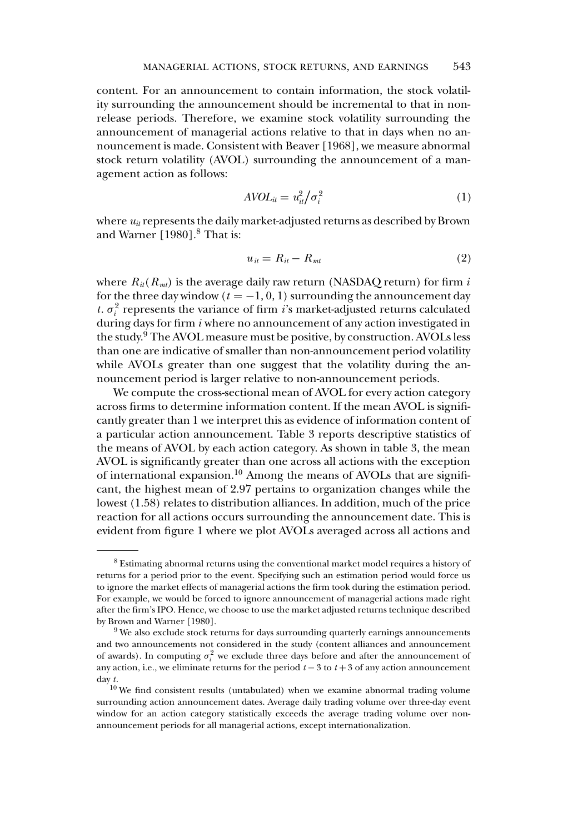content. For an announcement to contain information, the stock volatility surrounding the announcement should be incremental to that in nonrelease periods. Therefore, we examine stock volatility surrounding the announcement of managerial actions relative to that in days when no announcement is made. Consistent with Beaver [1968], we measure abnormal stock return volatility (AVOL) surrounding the announcement of a management action as follows:

$$
AVOL_{it} = u_{it}^2 / \sigma_i^2 \tag{1}
$$

where  $u_{it}$  represents the daily market-adjusted returns as described by Brown and Warner [1980].<sup>8</sup> That is:

$$
u_{it} = R_{it} - R_{mt} \tag{2}
$$

where  $R_{it}(R_{mt})$  is the average daily raw return (NASDAQ return) for firm *i* for the three day window ( $t = -1, 0, 1$ ) surrounding the announcement day *t*.  $\sigma_i^2$  represents the variance of firm *i*'s market-adjusted returns calculated during days for firm *i* where no announcement of any action investigated in the study.<sup>9</sup> The AVOL measure must be positive, by construction. AVOLs less than one are indicative of smaller than non-announcement period volatility while AVOLs greater than one suggest that the volatility during the announcement period is larger relative to non-announcement periods.

We compute the cross-sectional mean of AVOL for every action category across firms to determine information content. If the mean AVOL is significantly greater than 1 we interpret this as evidence of information content of a particular action announcement. Table 3 reports descriptive statistics of the means of AVOL by each action category. As shown in table 3, the mean AVOL is significantly greater than one across all actions with the exception of international expansion.<sup>10</sup> Among the means of AVOLs that are significant, the highest mean of 2.97 pertains to organization changes while the lowest (1.58) relates to distribution alliances. In addition, much of the price reaction for all actions occurs surrounding the announcement date. This is evident from figure 1 where we plot AVOLs averaged across all actions and

<sup>8</sup> Estimating abnormal returns using the conventional market model requires a history of returns for a period prior to the event. Specifying such an estimation period would force us to ignore the market effects of managerial actions the firm took during the estimation period. For example, we would be forced to ignore announcement of managerial actions made right after the firm's IPO. Hence, we choose to use the market adjusted returns technique described by Brown and Warner [1980].

<sup>&</sup>lt;sup>9</sup> We also exclude stock returns for days surrounding quarterly earnings announcements and two announcements not considered in the study (content alliances and announcement of awards). In computing  $\sigma_i^2$  we exclude three days before and after the announcement of any action, i.e., we eliminate returns for the period *t* − 3 to *t* + 3 of any action announcement day *t*.

 $10$  We find consistent results (untabulated) when we examine abnormal trading volume surrounding action announcement dates. Average daily trading volume over three-day event window for an action category statistically exceeds the average trading volume over nonannouncement periods for all managerial actions, except internationalization.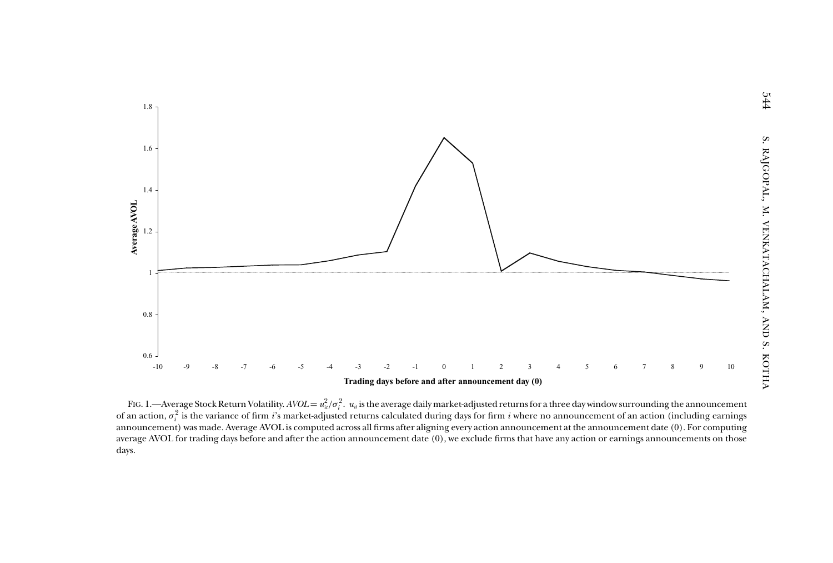

FIG. 1.—Average Stock Return Volatility.  $AVOL = u_{il}^2/\sigma_i^2$ .  $u_{il}$  is the average daily market-adjusted returns for a three day window surrounding the announcement of an action,  $\sigma_i^2$  is the variance of firm *i*'s market-adjusted returns calculated during days for firm *i* where no announcement of an action (including earnings announcement) was made. Average AVOL is computed across all firms after aligning every action announcement at the announcement date (0). For computing average AVOL for trading days before and after the action announcement date (0), we exclude firms that have any action or earnings announcements on those days.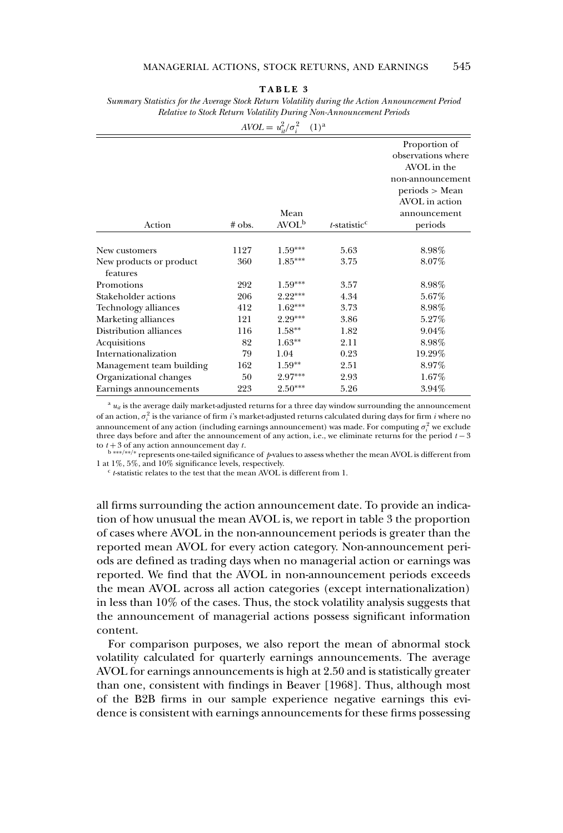## **TABLE 3**

*Summary Statistics for the Average Stock Return Volatility during the Action Announcement Period Relative to Stock Return Volatility During Non-Announcement Periods*

|                          |          | $\iota\iota\iota$<br>$\epsilon$ |                             |                                                                                                                            |
|--------------------------|----------|---------------------------------|-----------------------------|----------------------------------------------------------------------------------------------------------------------------|
|                          |          | Mean                            |                             | Proportion of<br>observations where<br>AVOL in the<br>non-announcement<br>periods > Mean<br>AVOL in action<br>announcement |
| Action                   | $#$ obs. | AVOL <sup>b</sup>               | $t$ -statistic <sup>c</sup> | periods                                                                                                                    |
|                          |          |                                 |                             |                                                                                                                            |
| New customers            | 1127     | $1.59***$                       | 5.63                        | 8.98%                                                                                                                      |
| New products or product  | 360      | 1.85***                         | 3.75                        | $8.07\%$                                                                                                                   |
| features                 |          |                                 |                             |                                                                                                                            |
| Promotions               | 292      | $1.59***$                       | 3.57                        | 8.98%                                                                                                                      |
| Stakeholder actions      | 206      | $2.22***$                       | 4.34                        | $5.67\%$                                                                                                                   |
| Technology alliances     | 412      | $1.62***$                       | 3.73                        | 8.98%                                                                                                                      |
| Marketing alliances      | 121      | $2.29***$                       | 3.86                        | 5.27%                                                                                                                      |
| Distribution alliances   | 116      | $1.58**$                        | 1.82                        | 9.04%                                                                                                                      |
| Acquisitions             | 82       | $1.63**$                        | 2.11                        | $8.98\%$                                                                                                                   |
| Internationalization     | 79       | 1.04                            | 0.23                        | 19.29%                                                                                                                     |
| Management team building | 162      | $1.59**$                        | 2.51                        | 8.97%                                                                                                                      |
| Organizational changes   | 50       | 2.97***                         | 2.93                        | 1.67%                                                                                                                      |
| Earnings announcements   | 223      | $2.50***$                       | 5.26                        | 3.94%                                                                                                                      |

 $AVOL = u_{it}^2 / \sigma_i^2$  (1)<sup>a</sup>

 $a$   $u_{it}$  is the average daily market-adjusted returns for a three day window surrounding the announcement of an action,  $\sigma_i^2$  is the variance of firm *i*'s market-adjusted returns calculated during days for firm *i* where no announcement of any action (including earnings announcement) was made. For computing  $\sigma_i^2$  we exclude three days before and after the announcement of any action, i.e., we eliminate returns for the period *t* − 3 to *t* + 3 of any action announcement day *t*.

to *t* + 3 of any action and the state of *the angle is ∗∗/∗∗/∗* represents one-tailed significance of *p*-values to assess whether the mean AVOL is different from 1 at 1%, 5%, and 10% significance levels, respectively.

 $\epsilon$  *t*-statistic relates to the test that the mean AVOL is different from 1.

all firms surrounding the action announcement date. To provide an indication of how unusual the mean AVOL is, we report in table 3 the proportion of cases where AVOL in the non-announcement periods is greater than the reported mean AVOL for every action category. Non-announcement periods are defined as trading days when no managerial action or earnings was reported. We find that the AVOL in non-announcement periods exceeds the mean AVOL across all action categories (except internationalization) in less than 10% of the cases. Thus, the stock volatility analysis suggests that the announcement of managerial actions possess significant information content.

For comparison purposes, we also report the mean of abnormal stock volatility calculated for quarterly earnings announcements. The average AVOL for earnings announcements is high at 2.50 and is statistically greater than one, consistent with findings in Beaver [1968]. Thus, although most of the B2B firms in our sample experience negative earnings this evidence is consistent with earnings announcements for these firms possessing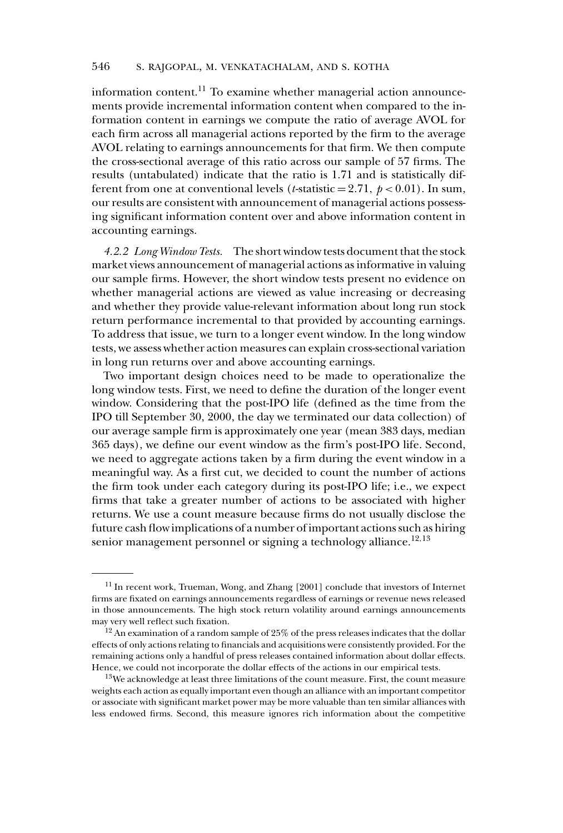information content.<sup>11</sup> To examine whether managerial action announcements provide incremental information content when compared to the information content in earnings we compute the ratio of average AVOL for each firm across all managerial actions reported by the firm to the average AVOL relating to earnings announcements for that firm. We then compute the cross-sectional average of this ratio across our sample of 57 firms. The results (untabulated) indicate that the ratio is 1.71 and is statistically different from one at conventional levels (*t*-statistic = 2.71,  $p < 0.01$ ). In sum, our results are consistent with announcement of managerial actions possessing significant information content over and above information content in accounting earnings.

*4.2.2 Long Window Tests.* The short window tests document that the stock market views announcement of managerial actions as informative in valuing our sample firms. However, the short window tests present no evidence on whether managerial actions are viewed as value increasing or decreasing and whether they provide value-relevant information about long run stock return performance incremental to that provided by accounting earnings. To address that issue, we turn to a longer event window. In the long window tests, we assess whether action measures can explain cross-sectional variation in long run returns over and above accounting earnings.

Two important design choices need to be made to operationalize the long window tests. First, we need to define the duration of the longer event window. Considering that the post-IPO life (defined as the time from the IPO till September 30, 2000, the day we terminated our data collection) of our average sample firm is approximately one year (mean 383 days, median 365 days), we define our event window as the firm's post-IPO life. Second, we need to aggregate actions taken by a firm during the event window in a meaningful way. As a first cut, we decided to count the number of actions the firm took under each category during its post-IPO life; i.e., we expect firms that take a greater number of actions to be associated with higher returns. We use a count measure because firms do not usually disclose the future cash flow implications of a number of important actions such as hiring senior management personnel or signing a technology alliance.<sup>12,13</sup>

 $^{11}$  In recent work, Trueman, Wong, and Zhang [2001] conclude that investors of Internet firms are fixated on earnings announcements regardless of earnings or revenue news released in those announcements. The high stock return volatility around earnings announcements may very well reflect such fixation.

 $12$  An examination of a random sample of  $25\%$  of the press releases indicates that the dollar effects of only actions relating to financials and acquisitions were consistently provided. For the remaining actions only a handful of press releases contained information about dollar effects. Hence, we could not incorporate the dollar effects of the actions in our empirical tests.

<sup>&</sup>lt;sup>13</sup>We acknowledge at least three limitations of the count measure. First, the count measure weights each action as equally important even though an alliance with an important competitor or associate with significant market power may be more valuable than ten similar alliances with less endowed firms. Second, this measure ignores rich information about the competitive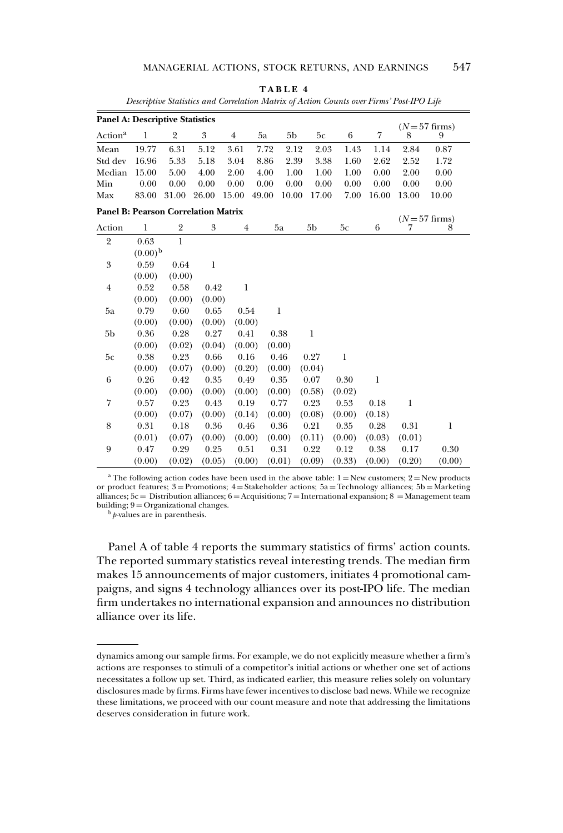|                                        |                                            |                  |        |                |       |        |                | Descriptive Statistics and Correlation Matrix of Action Counts over Firms Fost-IFO Life |        |              |                     |
|----------------------------------------|--------------------------------------------|------------------|--------|----------------|-------|--------|----------------|-----------------------------------------------------------------------------------------|--------|--------------|---------------------|
| <b>Panel A: Descriptive Statistics</b> |                                            |                  |        |                |       |        |                |                                                                                         |        |              |                     |
| Action <sup>a</sup>                    | 1                                          | $\overline{2}$   | 3      | $\overline{4}$ | 5a    | 5b     | 5c             | $\,6$                                                                                   | 7      | 8            | $(N=57$ firms)<br>9 |
| Mean                                   | 19.77                                      | 6.31             | 5.12   | 3.61           | 7.72  | 2.12   | 2.03           | 1.43                                                                                    | 1.14   | 2.84         | 0.87                |
| Std dev                                | 16.96                                      | 5.33             | 5.18   | 3.04           | 8.86  | 2.39   | 3.38           | 1.60                                                                                    | 2.62   | 2.52         | 1.72                |
| Median                                 | 15.00                                      | 5.00             | 4.00   | 2.00           | 4.00  | 1.00   | 1.00           | 1.00                                                                                    | 0.00   | 2.00         | 0.00                |
| Min                                    | 0.00                                       | 0.00             | 0.00   | 0.00           | 0.00  | 0.00   | 0.00           | 0.00                                                                                    | 0.00   | 0.00         | 0.00                |
| Max                                    | 83.00                                      | 31.00            | 26.00  | 15.00          | 49.00 | 10.00  | 17.00          | 7.00                                                                                    | 16.00  | 13.00        | 10.00               |
|                                        | <b>Panel B: Pearson Correlation Matrix</b> |                  |        |                |       |        |                |                                                                                         |        |              |                     |
| Action                                 | 1                                          | $\boldsymbol{2}$ | 3      | $\overline{4}$ |       | 5a     | 5 <sub>b</sub> | 5c                                                                                      | 6      | 7            | $(N=57$ firms)<br>8 |
|                                        |                                            | $\mathbf{1}$     |        |                |       |        |                |                                                                                         |        |              |                     |
| $\overline{2}$                         | 0.63<br>$(0.00)^{\rm b}$                   |                  |        |                |       |        |                |                                                                                         |        |              |                     |
| 3                                      | 0.59                                       | 0.64             | 1      |                |       |        |                |                                                                                         |        |              |                     |
|                                        | (0.00)                                     | (0.00)           |        |                |       |        |                |                                                                                         |        |              |                     |
| $\overline{4}$                         | 0.52                                       | 0.58             | 0.42   | 1              |       |        |                |                                                                                         |        |              |                     |
|                                        | (0.00)                                     | (0.00)           | (0.00) |                |       |        |                |                                                                                         |        |              |                     |
| 5a                                     | 0.79                                       | 0.60             | 0.65   | 0.54           |       | 1      |                |                                                                                         |        |              |                     |
|                                        | (0.00)                                     | (0.00)           | (0.00) | (0.00)         |       |        |                |                                                                                         |        |              |                     |
| 5 <sub>b</sub>                         | 0.36                                       | 0.28             | 0.27   | 0.41           |       | 0.38   | $\mathbf{1}$   |                                                                                         |        |              |                     |
|                                        | (0.00)                                     | (0.02)           | (0.04) | (0.00)         |       | (0.00) |                |                                                                                         |        |              |                     |
| 5c                                     | 0.38                                       | 0.23             | 0.66   | 0.16           |       | 0.46   | 0.27           | 1                                                                                       |        |              |                     |
|                                        | (0.00)                                     | (0.07)           | (0.00) | (0.20)         |       | (0.00) | (0.04)         |                                                                                         |        |              |                     |
| 6                                      | 0.26                                       | 0.42             | 0.35   | 0.49           |       | 0.35   | 0.07           | 0.30                                                                                    | 1      |              |                     |
|                                        | (0.00)                                     | (0.00)           | (0.00) | (0.00)         |       | (0.00) | (0.58)         | (0.02)                                                                                  |        |              |                     |
| 7                                      | 0.57                                       | 0.23             | 0.43   | 0.19           |       | 0.77   | 0.23           | 0.53                                                                                    | 0.18   | $\mathbf{1}$ |                     |
|                                        | (0.00)                                     | (0.07)           | (0.00) | (0.14)         |       | (0.00) | (0.08)         | (0.00)                                                                                  | (0.18) |              |                     |
| 8                                      | 0.31                                       | 0.18             | 0.36   | 0.46           |       | 0.36   | 0.21           | 0.35                                                                                    | 0.28   | 0.31         | 1                   |
|                                        | (0.01)                                     | (0.07)           | (0.00) | (0.00)         |       | (0.00) | (0.11)         | (0.00)                                                                                  | (0.03) | (0.01)       |                     |
| 9                                      | 0.47                                       | 0.29             | 0.25   | 0.51           |       | 0.31   | 0.22           | 0.12                                                                                    | 0.38   | 0.17         | 0.30                |
|                                        | (0.00)                                     | (0.02)           | (0.05) | (0.00)         |       | (0.01) | (0.09)         | (0.33)                                                                                  | (0.00) | (0.20)       | (0.00)              |

**TABLE 4** *Descriptive Statistics and Correlation Matrix of Action Counts over Firms' Post-IPO Life*

<sup>a</sup> The following action codes have been used in the above table:  $1 =$  New customers;  $2 =$  New products or product features;  $3 =$  Promotions;  $4 =$  Stakeholder actions;  $5a =$  Technology alliances;  $5b =$  Marketing alliances; 5c = Distribution alliances; 6 = Acquisitions; 7 = International expansion; 8 = Management team building; 9 = Organizational changes.

b *p*-values are in parenthesis.

Panel A of table 4 reports the summary statistics of firms' action counts. The reported summary statistics reveal interesting trends. The median firm makes 15 announcements of major customers, initiates 4 promotional campaigns, and signs 4 technology alliances over its post-IPO life. The median firm undertakes no international expansion and announces no distribution alliance over its life.

dynamics among our sample firms. For example, we do not explicitly measure whether a firm's actions are responses to stimuli of a competitor's initial actions or whether one set of actions necessitates a follow up set. Third, as indicated earlier, this measure relies solely on voluntary disclosures made by firms. Firms have fewer incentives to disclose bad news. While we recognize these limitations, we proceed with our count measure and note that addressing the limitations deserves consideration in future work.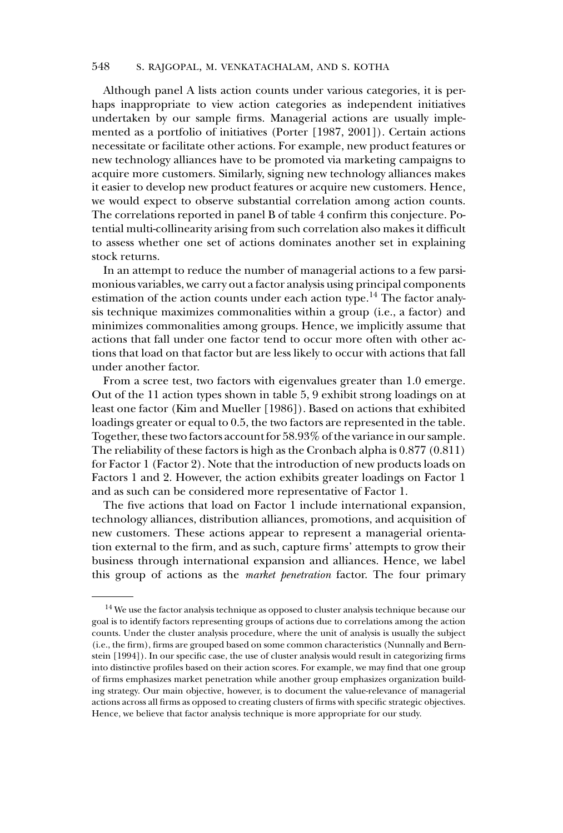Although panel A lists action counts under various categories, it is perhaps inappropriate to view action categories as independent initiatives undertaken by our sample firms. Managerial actions are usually implemented as a portfolio of initiatives (Porter [1987, 2001]). Certain actions necessitate or facilitate other actions. For example, new product features or new technology alliances have to be promoted via marketing campaigns to acquire more customers. Similarly, signing new technology alliances makes it easier to develop new product features or acquire new customers. Hence, we would expect to observe substantial correlation among action counts. The correlations reported in panel B of table 4 confirm this conjecture. Potential multi-collinearity arising from such correlation also makes it difficult to assess whether one set of actions dominates another set in explaining stock returns.

In an attempt to reduce the number of managerial actions to a few parsimonious variables, we carry out a factor analysis using principal components estimation of the action counts under each action type.<sup>14</sup> The factor analysis technique maximizes commonalities within a group (i.e., a factor) and minimizes commonalities among groups. Hence, we implicitly assume that actions that fall under one factor tend to occur more often with other actions that load on that factor but are less likely to occur with actions that fall under another factor.

From a scree test, two factors with eigenvalues greater than 1.0 emerge. Out of the 11 action types shown in table 5, 9 exhibit strong loadings on at least one factor (Kim and Mueller [1986]). Based on actions that exhibited loadings greater or equal to 0.5, the two factors are represented in the table. Together, these two factors account for 58.93% of the variance in our sample. The reliability of these factors is high as the Cronbach alpha is 0.877 (0.811) for Factor 1 (Factor 2). Note that the introduction of new products loads on Factors 1 and 2. However, the action exhibits greater loadings on Factor 1 and as such can be considered more representative of Factor 1.

The five actions that load on Factor 1 include international expansion, technology alliances, distribution alliances, promotions, and acquisition of new customers. These actions appear to represent a managerial orientation external to the firm, and as such, capture firms' attempts to grow their business through international expansion and alliances. Hence, we label this group of actions as the *market penetration* factor. The four primary

<sup>&</sup>lt;sup>14</sup> We use the factor analysis technique as opposed to cluster analysis technique because our goal is to identify factors representing groups of actions due to correlations among the action counts. Under the cluster analysis procedure, where the unit of analysis is usually the subject (i.e., the firm), firms are grouped based on some common characteristics (Nunnally and Bernstein [1994]). In our specific case, the use of cluster analysis would result in categorizing firms into distinctive profiles based on their action scores. For example, we may find that one group of firms emphasizes market penetration while another group emphasizes organization building strategy. Our main objective, however, is to document the value-relevance of managerial actions across all firms as opposed to creating clusters of firms with specific strategic objectives. Hence, we believe that factor analysis technique is more appropriate for our study.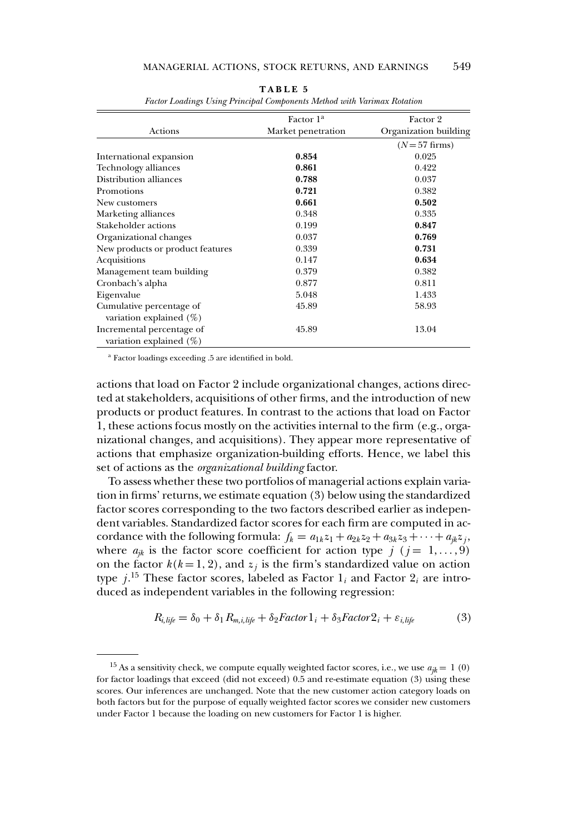|                                                         | Factor 1 <sup>a</sup> | Factor 2              |  |  |
|---------------------------------------------------------|-----------------------|-----------------------|--|--|
| Actions                                                 | Market penetration    | Organization building |  |  |
|                                                         |                       | $(N=57$ firms)        |  |  |
| International expansion                                 | 0.854                 | 0.025                 |  |  |
| Technology alliances                                    | 0.861                 | 0.422                 |  |  |
| Distribution alliances                                  | 0.788                 | 0.037                 |  |  |
| Promotions                                              | 0.721                 | 0.382                 |  |  |
| New customers                                           | 0.661                 | 0.502                 |  |  |
| Marketing alliances                                     | 0.348                 | 0.335                 |  |  |
| Stakeholder actions                                     | 0.199                 | 0.847                 |  |  |
| Organizational changes                                  | 0.037                 | 0.769                 |  |  |
| New products or product features                        | 0.339                 | 0.731                 |  |  |
| Acquisitions                                            | 0.147                 | 0.634                 |  |  |
| Management team building                                | 0.379                 | 0.382                 |  |  |
| Cronbach's alpha                                        | 0.877                 | 0.811                 |  |  |
| Eigenvalue                                              | 5.048                 | 1.433                 |  |  |
| Cumulative percentage of<br>variation explained $(\%)$  | 45.89                 | 58.93                 |  |  |
| Incremental percentage of<br>variation explained $(\%)$ | 45.89                 | 13.04                 |  |  |

**TABLE 5**

*Factor Loadings Using Principal Components Method with Varimax Rotation*

<sup>a</sup> Factor loadings exceeding .5 are identified in bold.

actions that load on Factor 2 include organizational changes, actions directed at stakeholders, acquisitions of other firms, and the introduction of new products or product features. In contrast to the actions that load on Factor 1, these actions focus mostly on the activities internal to the firm (e.g., organizational changes, and acquisitions). They appear more representative of actions that emphasize organization-building efforts. Hence, we label this set of actions as the *organizational building* factor.

To assess whether these two portfolios of managerial actions explain variation in firms' returns, we estimate equation (3) below using the standardized factor scores corresponding to the two factors described earlier as independent variables. Standardized factor scores for each firm are computed in accordance with the following formula:  $f_k = a_{1k}z_1 + a_{2k}z_2 + a_{3k}z_3 + \cdots + a_{ik}z_j$ where  $a_{jk}$  is the factor score coefficient for action type  $j$  ( $j = 1, \ldots, 9$ ) on the factor  $k(k=1, 2)$ , and  $z_j$  is the firm's standardized value on action type *j*. <sup>15</sup> These factor scores, labeled as Factor 1*<sup>i</sup>* and Factor 2*<sup>i</sup>* are introduced as independent variables in the following regression:

$$
R_{i,life} = \delta_0 + \delta_1 R_{m,i,life} + \delta_2 Factor 1_i + \delta_3 Factor 2_i + \varepsilon_{i,life}
$$
\n(3)

<sup>&</sup>lt;sup>15</sup> As a sensitivity check, we compute equally weighted factor scores, i.e., we use  $a_{jk} = 1$  (0) for factor loadings that exceed (did not exceed) 0.5 and re-estimate equation (3) using these scores. Our inferences are unchanged. Note that the new customer action category loads on both factors but for the purpose of equally weighted factor scores we consider new customers under Factor 1 because the loading on new customers for Factor 1 is higher.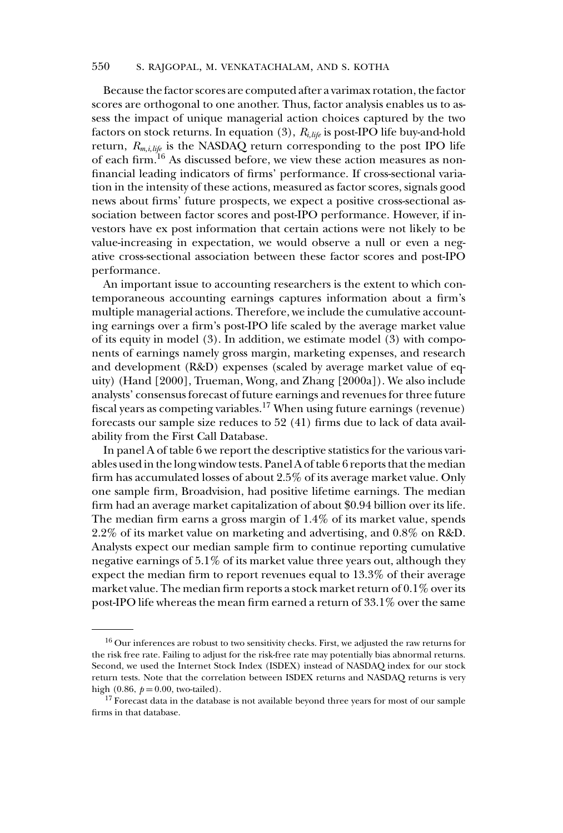Because the factor scores are computed after a varimax rotation, the factor scores are orthogonal to one another. Thus, factor analysis enables us to assess the impact of unique managerial action choices captured by the two factors on stock returns. In equation (3), *Ri,life* is post-IPO life buy-and-hold return,  $R_{m,i\,l\dot{\theta}\dot{\theta}}$  is the NASDAQ return corresponding to the post IPO life of each firm.<sup>16</sup> As discussed before, we view these action measures as nonfinancial leading indicators of firms' performance. If cross-sectional variation in the intensity of these actions, measured as factor scores, signals good news about firms' future prospects, we expect a positive cross-sectional association between factor scores and post-IPO performance. However, if investors have ex post information that certain actions were not likely to be value-increasing in expectation, we would observe a null or even a negative cross-sectional association between these factor scores and post-IPO performance.

An important issue to accounting researchers is the extent to which contemporaneous accounting earnings captures information about a firm's multiple managerial actions. Therefore, we include the cumulative accounting earnings over a firm's post-IPO life scaled by the average market value of its equity in model (3). In addition, we estimate model (3) with components of earnings namely gross margin, marketing expenses, and research and development (R&D) expenses (scaled by average market value of equity) (Hand [2000], Trueman, Wong, and Zhang [2000a]). We also include analysts' consensus forecast of future earnings and revenues for three future fiscal years as competing variables.<sup>17</sup> When using future earnings (revenue) forecasts our sample size reduces to 52 (41) firms due to lack of data availability from the First Call Database.

In panel A of table 6 we report the descriptive statistics for the various variables used in the long window tests. Panel A of table 6 reports that the median firm has accumulated losses of about 2.5% of its average market value. Only one sample firm, Broadvision, had positive lifetime earnings. The median firm had an average market capitalization of about \$0.94 billion over its life. The median firm earns a gross margin of 1.4% of its market value, spends 2.2% of its market value on marketing and advertising, and 0.8% on R&D. Analysts expect our median sample firm to continue reporting cumulative negative earnings of 5.1% of its market value three years out, although they expect the median firm to report revenues equal to 13.3% of their average market value. The median firm reports a stock market return of  $0.1\%$  over its post-IPO life whereas the mean firm earned a return of 33.1% over the same

<sup>16</sup> Our inferences are robust to two sensitivity checks. First, we adjusted the raw returns for the risk free rate. Failing to adjust for the risk-free rate may potentially bias abnormal returns. Second, we used the Internet Stock Index (ISDEX) instead of NASDAQ index for our stock return tests. Note that the correlation between ISDEX returns and NASDAQ returns is very high (0.86,  $p = 0.00$ , two-tailed).<br><sup>17</sup> Forecast data in the database is not available beyond three years for most of our sample

firms in that database.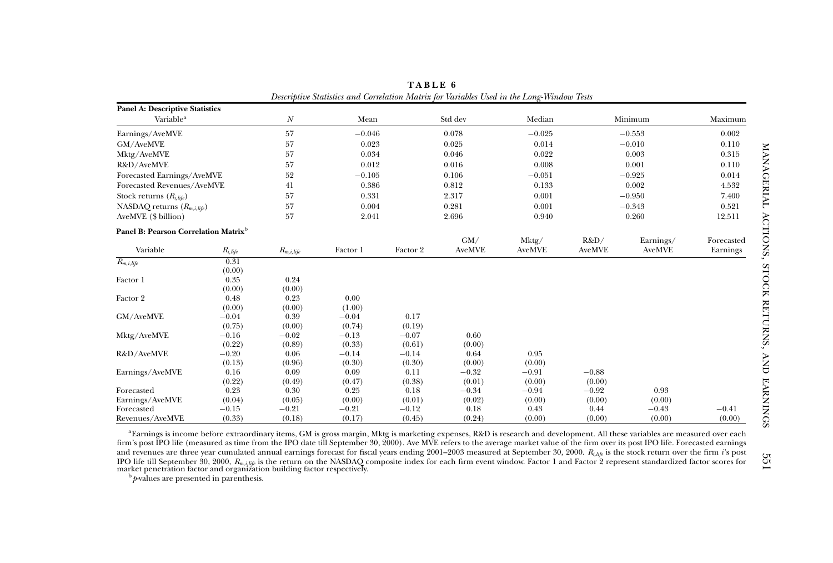| <b>Panel A: Descriptive Statistics</b>           |                |                |                |                |                   |                   |                   |                     |                        |
|--------------------------------------------------|----------------|----------------|----------------|----------------|-------------------|-------------------|-------------------|---------------------|------------------------|
| Variable <sup>a</sup>                            |                | $\cal N$       | Mean           |                | Std dev           | Median            |                   | Minimum             | Maximum                |
| Earnings/AveMVE                                  |                | 57             | $-0.046$       |                | 0.078             |                   |                   | $-0.553$            | 0.002                  |
| GM/AveMVE                                        |                | 57             | 0.023          |                | 0.025             |                   |                   | $-0.010$            | 0.110                  |
| Mktg/AveMVE                                      |                | 57             | 0.034          |                | 0.046             |                   |                   | 0.003               | 0.315                  |
| R&D/AveMVE                                       |                | 57             | 0.012          |                | 0.016             | 0.008             |                   | 0.001               | 0.110                  |
| Forecasted Earnings/AveMVE                       |                | 52             | $-0.105$       |                | 0.106             | $-0.051$          |                   | $-0.925$            | 0.014                  |
| Forecasted Revenues/AveMVE                       |                | 41             | 0.386          |                | 0.812             | 0.133             |                   | 0.002               | 4.532                  |
| Stock returns $(R_{i,life})$                     |                | 57             | 0.331          |                | 2.317             | 0.001             |                   | $-0.950$            | 7.400                  |
| NASDAQ returns $(R_{m,i,life})$                  | 57             | 0.004          |                | 0.281          | 0.001             |                   | $-0.343$          | 0.521               |                        |
| AveMVE (\$ billion)                              |                | 57             | 2.041          |                | 2.696             | 0.940             |                   | 0.260               | 12.511                 |
| Panel B: Pearson Correlation Matrix <sup>b</sup> |                |                |                |                |                   |                   |                   |                     |                        |
| Variable                                         | $R_{i,life}$   | $R_{m,i,life}$ | Factor 1       | Factor 2       | GM/<br>AveMVE     | Mktg/<br>AveMVE   | R&D/<br>AveMVE    | Earnings/<br>AveMVE | Forecasted<br>Earnings |
| $\overline{R_{m,i,life}}$                        | 0.31           |                |                |                |                   |                   |                   |                     |                        |
|                                                  | (0.00)         |                |                |                |                   |                   |                   |                     |                        |
| Factor 1                                         | 0.35           | 0.24           |                |                |                   |                   |                   |                     |                        |
|                                                  | (0.00)         | (0.00)         |                |                |                   |                   |                   |                     |                        |
| Factor 2                                         | 0.48           | 0.23           | 0.00           |                |                   |                   |                   |                     |                        |
|                                                  | (0.00)         | (0.00)         | (1.00)         |                |                   |                   |                   |                     |                        |
| GM/AveMVE                                        | $-0.04$        | 0.39           | $-0.04$        | 0.17           |                   |                   |                   |                     |                        |
|                                                  | (0.75)         | (0.00)         | (0.74)         | (0.19)         |                   |                   |                   |                     |                        |
| Mktg/AveMVE                                      | $-0.16$        | $-0.02$        | $-0.13$        | $-0.07$        | 0.60              |                   |                   |                     |                        |
|                                                  | (0.22)         | (0.89)         | (0.33)         | (0.61)         | (0.00)            |                   |                   |                     |                        |
| R&D/AveMVE                                       | $-0.20$        | 0.06           | $-0.14$        | $-0.14$        | 0.64              | 0.95              |                   |                     |                        |
|                                                  | (0.13)<br>0.16 | (0.96)         | (0.30)<br>0.09 | (0.30)         | (0.00)<br>$-0.32$ | (0.00)            |                   |                     |                        |
| Earnings/AveMVE                                  | (0.22)         | 0.09<br>(0.49) | (0.47)         | 0.11<br>(0.38) | (0.01)            | $-0.91$<br>(0.00) | $-0.88$<br>(0.00) |                     |                        |
| Forecasted                                       | 0.23           | 0.30           | 0.25           | 0.18           | $-0.34$           | $-0.94$           | $-0.92$           | 0.93                |                        |
| Earnings/AveMVE                                  | (0.04)         | (0.05)         | (0.00)         | (0.01)         | (0.02)            | (0.00)            | (0.00)            | (0.00)              |                        |
| Forecasted                                       | $-0.15$        | $-0.21$        | $-0.21$        | $-0.12$        | 0.18              | 0.43              | 0.44              | $-0.43$             | $-0.41$                |
| Revenues/AveMVE                                  | (0.33)         | (0.18)         | (0.17)         | (0.45)         | (0.24)            | (0.00)            | (0.00)            | (0.00)              | (0.00)                 |

**TABLE 6**Descriptive Statistics and Correlation Matrix for Variables Used in the Long-Window Tests

<sup>a</sup>Earnings is income before extraordinary items, GM is gross margin, Mktg is marketing expenses, R&D is research and development. All these variables are measured over each firm's post IPO life (measured as time from the IPO date till September 30, 2000). Ave MVE refers to the average market value of the firm over its post IPO life. Forecasted earnings and revenues are three year cumulated annual earnings forecast for fiscal years ending 2001–2003 measured at September 30, 2000.  $R_i$  is the stock return over the firm *i*'s post IPO life till September 30, 2000,  $R_{m,i\,ll\hat{p}}$  is the return on the NASDAQ composite index for each firm event window. Factor 1 and Factor 2 represent standardized factor scores for market penetration factor and organiz

b *p*-values are presented in parenthesis.

551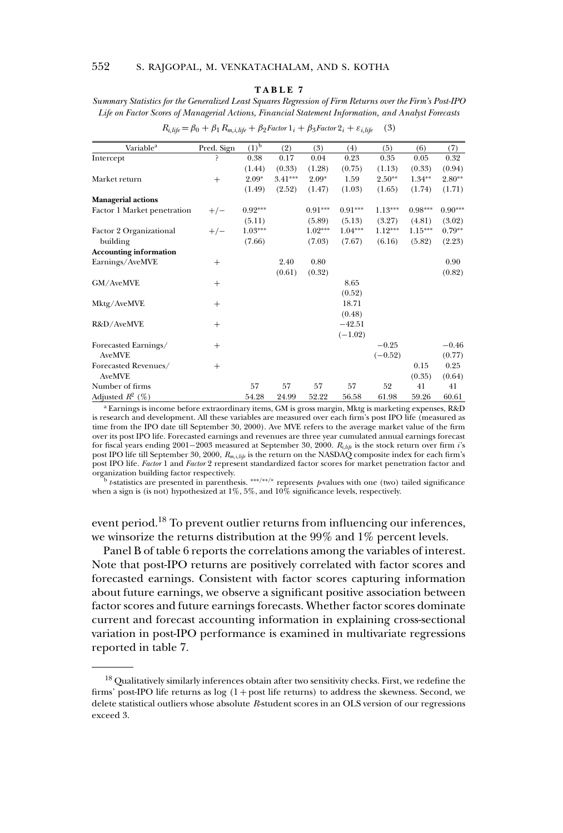#### **TABLE 7**

*Summary Statistics for the Generalized Least Squares Regression of Firm Returns over the Firm's Post-IPO Life on Factor Scores of Managerial Actions, Financial Statement Information, and Analyst Forecasts*

| Variable <sup>a</sup>         | Pred. Sign | $(1)^{\overline{b}}$ | (2)       | (3)       | (4)       | (5)       | (6)       | (7)       |
|-------------------------------|------------|----------------------|-----------|-----------|-----------|-----------|-----------|-----------|
|                               | 5          | 0.38                 | 0.17      | 0.04      | 0.23      | 0.35      | 0.05      | 0.32      |
| Intercept                     |            |                      |           |           |           |           |           |           |
|                               |            | (1.44)               | (0.33)    | (1.28)    | (0.75)    | (1.13)    | (0.33)    | (0.94)    |
| Market return                 | $^{+}$     | $2.09*$              | $3.41***$ | $2.09*$   | 1.59      | $2.50**$  | $1.34**$  | $2.80**$  |
|                               |            | (1.49)               | (2.52)    | (1.47)    | (1.03)    | (1.65)    | (1.74)    | (1.71)    |
| <b>Managerial actions</b>     |            |                      |           |           |           |           |           |           |
| Factor 1 Market penetration   | $+/-$      | $0.92***$            |           | $0.91***$ | $0.91***$ | $1.13***$ | $0.98***$ | $0.90***$ |
|                               |            | (5.11)               |           | (5.89)    | (5.13)    | (3.27)    | (4.81)    | (3.02)    |
| Factor 2 Organizational       | $+/-$      | $1.03***$            |           | $1.02***$ | $1.04***$ | $1.12***$ | $1.15***$ | $0.79**$  |
| building                      |            | (7.66)               |           | (7.03)    | (7.67)    | (6.16)    | (5.82)    | (2.23)    |
| <b>Accounting information</b> |            |                      |           |           |           |           |           |           |
| Earnings/AveMVE               | $^{+}$     |                      | 2.40      | 0.80      |           |           |           | 0.90      |
|                               |            |                      | (0.61)    | (0.32)    |           |           |           | (0.82)    |
| GM/AveMVE                     | $^{+}$     |                      |           |           | 8.65      |           |           |           |
|                               |            |                      |           |           | (0.52)    |           |           |           |
| Mktg/AveMVE                   | $^{+}$     |                      |           |           | 18.71     |           |           |           |
|                               |            |                      |           |           | (0.48)    |           |           |           |
| R&D/AveMVE                    | $^{+}$     |                      |           |           | $-42.51$  |           |           |           |
|                               |            |                      |           |           | $(-1.02)$ |           |           |           |
|                               |            |                      |           |           |           |           |           |           |
| Forecasted Earnings/          | $^{+}$     |                      |           |           |           | $-0.25$   |           | $-0.46$   |
| AveMVE                        |            |                      |           |           |           | $(-0.52)$ |           | (0.77)    |
| Forecasted Revenues/          | $+$        |                      |           |           |           |           | 0.15      | 0.25      |
| AveMVE                        |            |                      |           |           |           |           | (0.35)    | (0.64)    |
| Number of firms               |            | 57                   | 57        | 57        | 57        | 52        | 41        | 41        |
| Adjusted $R^2$ (%)            |            | 54.28                | 24.99     | 52.22     | 56.58     | 61.98     | 59.26     | 60.61     |

|  | $R_{i,life} = \beta_0 + \beta_1 R_{m,i,life} + \beta_2 Factor 1_i + \beta_3 Factor 2_i + \varepsilon_{i,life}$ (3) |  |
|--|--------------------------------------------------------------------------------------------------------------------|--|
|--|--------------------------------------------------------------------------------------------------------------------|--|

<sup>a</sup> Earnings is income before extraordinary items, GM is gross margin, Mktg is marketing expenses, R&D is research and development. All these variables are measured over each firm's post IPO life (measured as time from the IPO date till September 30, 2000). Ave MVE refers to the average market value of the firm over its post IPO life. Forecasted earnings and revenues are three year cumulated annual earnings forecast for fiscal years ending 2001−2003 measured at September 30, 2000. *Ri,life* is the stock return over firm *i*'s post IPO life till September 30, 2000, *Rm,i,life* is the return on the NASDAQ composite index for each firm's post IPO life. *Factor* 1 and *Factor* 2 represent standardized factor scores for market penetration factor and

organization building factor respectively. <sup>b</sup> *<sup>t</sup>*-statistics are presented in parenthesis. ∗∗∗/∗∗/<sup>∗</sup> represents *<sup>p</sup>*-values with one (two) tailed significance when a sign is (is not) hypothesized at  $1\%$ , 5%, and  $10\%$  significance levels, respectively.

event period.<sup>18</sup> To prevent outlier returns from influencing our inferences, we winsorize the returns distribution at the 99% and 1% percent levels.

Panel B of table 6 reports the correlations among the variables of interest. Note that post-IPO returns are positively correlated with factor scores and forecasted earnings. Consistent with factor scores capturing information about future earnings, we observe a significant positive association between factor scores and future earnings forecasts. Whether factor scores dominate current and forecast accounting information in explaining cross-sectional variation in post-IPO performance is examined in multivariate regressions reported in table 7.

<sup>&</sup>lt;sup>18</sup> Qualitatively similarly inferences obtain after two sensitivity checks. First, we redefine the firms' post-IPO life returns as log (1 + post life returns) to address the skewness. Second, we delete statistical outliers whose absolute *R*-student scores in an OLS version of our regressions exceed 3.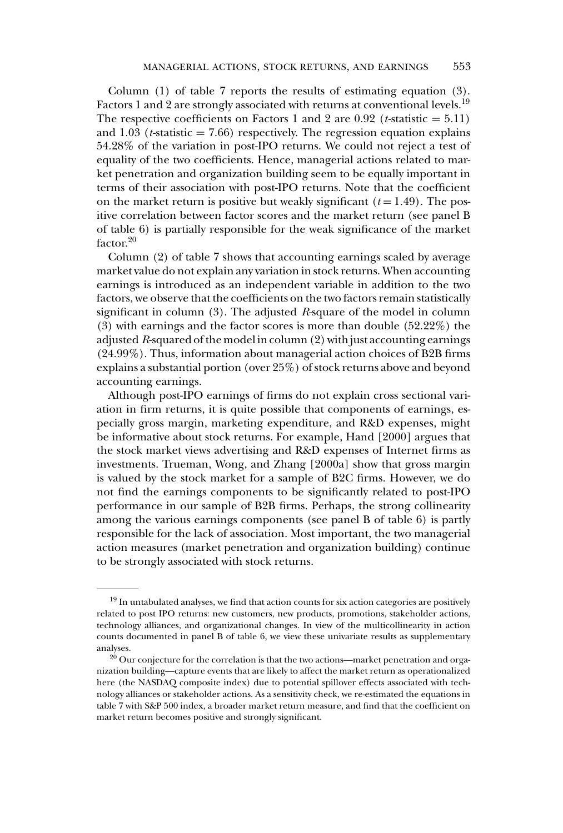Column (1) of table 7 reports the results of estimating equation (3). Factors 1 and 2 are strongly associated with returns at conventional levels.<sup>19</sup> The respective coefficients on Factors 1 and 2 are  $0.92$  (*t*-statistic = 5.11) and  $1.03$  (*t*-statistic  $= 7.66$ ) respectively. The regression equation explains 54.28% of the variation in post-IPO returns. We could not reject a test of equality of the two coefficients. Hence, managerial actions related to market penetration and organization building seem to be equally important in terms of their association with post-IPO returns. Note that the coefficient on the market return is positive but weakly significant  $(t = 1.49)$ . The positive correlation between factor scores and the market return (see panel B of table 6) is partially responsible for the weak significance of the market factor.<sup>20</sup>

Column (2) of table 7 shows that accounting earnings scaled by average market value do not explain any variation in stock returns. When accounting earnings is introduced as an independent variable in addition to the two factors, we observe that the coefficients on the two factors remain statistically significant in column (3). The adjusted *R*-square of the model in column (3) with earnings and the factor scores is more than double (52.22%) the adjusted *R*-squared of the model in column (2) with just accounting earnings (24.99%). Thus, information about managerial action choices of B2B firms explains a substantial portion (over 25%) of stock returns above and beyond accounting earnings.

Although post-IPO earnings of firms do not explain cross sectional variation in firm returns, it is quite possible that components of earnings, especially gross margin, marketing expenditure, and R&D expenses, might be informative about stock returns. For example, Hand [2000] argues that the stock market views advertising and R&D expenses of Internet firms as investments. Trueman, Wong, and Zhang [2000a] show that gross margin is valued by the stock market for a sample of B2C firms. However, we do not find the earnings components to be significantly related to post-IPO performance in our sample of B2B firms. Perhaps, the strong collinearity among the various earnings components (see panel B of table 6) is partly responsible for the lack of association. Most important, the two managerial action measures (market penetration and organization building) continue to be strongly associated with stock returns.

<sup>&</sup>lt;sup>19</sup> In untabulated analyses, we find that action counts for six action categories are positively related to post IPO returns: new customers, new products, promotions, stakeholder actions, technology alliances, and organizational changes. In view of the multicollinearity in action counts documented in panel B of table 6, we view these univariate results as supplementary analyses.

 $20$  Our conjecture for the correlation is that the two actions—market penetration and organization building—capture events that are likely to affect the market return as operationalized here (the NASDAQ composite index) due to potential spillover effects associated with technology alliances or stakeholder actions. As a sensitivity check, we re-estimated the equations in table 7 with S&P 500 index, a broader market return measure, and find that the coefficient on market return becomes positive and strongly significant.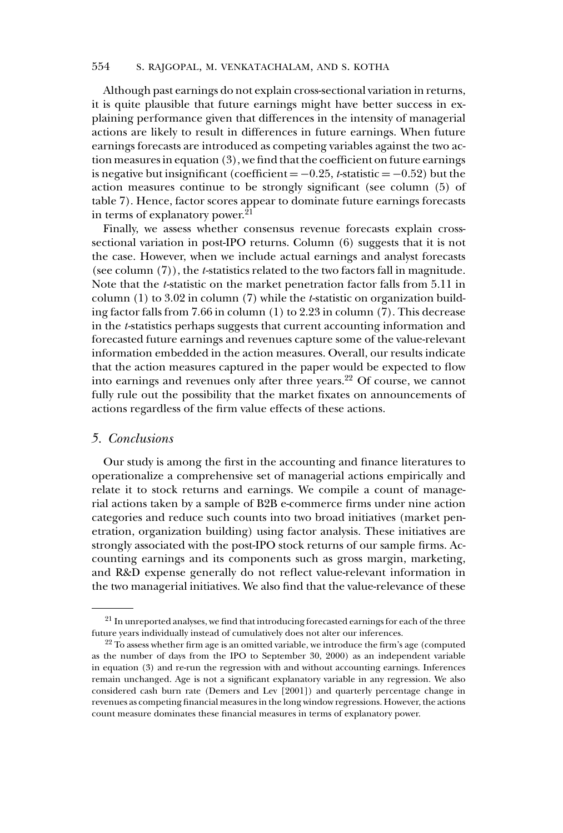Although past earnings do not explain cross-sectional variation in returns, it is quite plausible that future earnings might have better success in explaining performance given that differences in the intensity of managerial actions are likely to result in differences in future earnings. When future earnings forecasts are introduced as competing variables against the two action measures in equation (3), we find that the coefficient on future earnings is negative but insignificant (coefficient  $= -0.25$ , *t*-statistic  $= -0.52$ ) but the action measures continue to be strongly significant (see column (5) of table 7). Hence, factor scores appear to dominate future earnings forecasts in terms of explanatory power.<sup>21</sup>

Finally, we assess whether consensus revenue forecasts explain crosssectional variation in post-IPO returns. Column (6) suggests that it is not the case. However, when we include actual earnings and analyst forecasts (see column (7)), the *t*-statistics related to the two factors fall in magnitude. Note that the *t*-statistic on the market penetration factor falls from 5.11 in column (1) to 3.02 in column (7) while the *t*-statistic on organization building factor falls from 7.66 in column (1) to 2.23 in column (7). This decrease in the *t*-statistics perhaps suggests that current accounting information and forecasted future earnings and revenues capture some of the value-relevant information embedded in the action measures. Overall, our results indicate that the action measures captured in the paper would be expected to flow into earnings and revenues only after three years. $22$  Of course, we cannot fully rule out the possibility that the market fixates on announcements of actions regardless of the firm value effects of these actions.

## *5. Conclusions*

Our study is among the first in the accounting and finance literatures to operationalize a comprehensive set of managerial actions empirically and relate it to stock returns and earnings. We compile a count of managerial actions taken by a sample of B2B e-commerce firms under nine action categories and reduce such counts into two broad initiatives (market penetration, organization building) using factor analysis. These initiatives are strongly associated with the post-IPO stock returns of our sample firms. Accounting earnings and its components such as gross margin, marketing, and R&D expense generally do not reflect value-relevant information in the two managerial initiatives. We also find that the value-relevance of these

<sup>&</sup>lt;sup>21</sup> In unreported analyses, we find that introducing forecasted earnings for each of the three future years individually instead of cumulatively does not alter our inferences.

 $22$  To assess whether firm age is an omitted variable, we introduce the firm's age (computed as the number of days from the IPO to September 30, 2000) as an independent variable in equation (3) and re-run the regression with and without accounting earnings. Inferences remain unchanged. Age is not a significant explanatory variable in any regression. We also considered cash burn rate (Demers and Lev [2001]) and quarterly percentage change in revenues as competing financial measures in the long window regressions. However, the actions count measure dominates these financial measures in terms of explanatory power.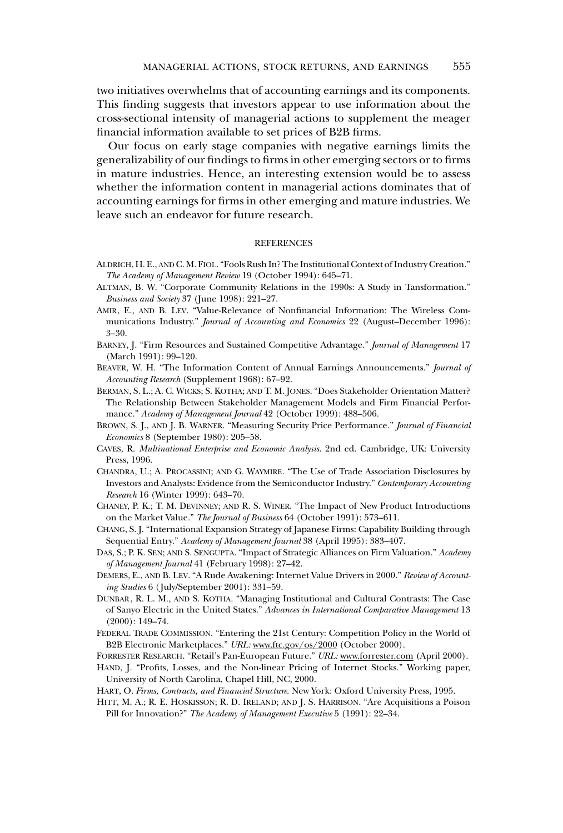two initiatives overwhelms that of accounting earnings and its components. This finding suggests that investors appear to use information about the cross-sectional intensity of managerial actions to supplement the meager financial information available to set prices of B2B firms.

Our focus on early stage companies with negative earnings limits the generalizability of our findings to firms in other emerging sectors or to firms in mature industries. Hence, an interesting extension would be to assess whether the information content in managerial actions dominates that of accounting earnings for firms in other emerging and mature industries. We leave such an endeavor for future research.

#### **REFERENCES**

- ALDRICH, H. E., AND C. M. FIOL. "Fools Rush In? The Institutional Context of Industry Creation." *The Academy of Management Review* 19 (October 1994): 645–71.
- ALTMAN, B. W. "Corporate Community Relations in the 1990s: A Study in Tansformation." *Business and Society* 37 (June 1998): 221–27.
- AMIR, E., AND B. LEV. "Value-Relevance of Nonfinancial Information: The Wireless Communications Industry." *Journal of Accounting and Economics* 22 (August–December 1996): 3–30.
- BARNEY, J. "Firm Resources and Sustained Competitive Advantage." *Journal of Management* 17 (March 1991): 99–120.
- BEAVER, W. H. "The Information Content of Annual Earnings Announcements." *Journal of Accounting Research* (Supplement 1968): 67–92.
- BERMAN, S. L.; A. C. WICKS; S. KOTHA; AND T. M. JONES. "Does Stakeholder Orientation Matter? The Relationship Between Stakeholder Management Models and Firm Financial Performance." *Academy of Management Journal* 42 (October 1999): 488–506.
- BROWN, S. J., AND J. B. WARNER. "Measuring Security Price Performance." *Journal of Financial Economics* 8 (September 1980): 205–58.
- CAVES, R. *Multinational Enterprise and Economic Analysis*. 2nd ed. Cambridge, UK: University Press, 1996.
- CHANDRA, U.; A. PROCASSINI; AND G. WAYMIRE. "The Use of Trade Association Disclosures by Investors and Analysts: Evidence from the Semiconductor Industry." *Contemporary Accounting Research* 16 (Winter 1999): 643–70.
- CHANEY, P. K.; T. M. DEVINNEY; AND R. S. WINER. "The Impact of New Product Introductions on the Market Value." *The Journal of Business* 64 (October 1991): 573–611.
- CHANG, S. J. "International Expansion Strategy of Japanese Firms: Capability Building through Sequential Entry." *Academy of Management Journal* 38 (April 1995): 383–407.
- DAS, S.; P. K. SEN; AND S. SENGUPTA. "Impact of Strategic Alliances on Firm Valuation." *Academy of Management Journal* 41 (February 1998): 27–42.
- DEMERS, E., AND B. LEV. "A Rude Awakening: Internet Value Drivers in 2000." *Review of Accounting Studies* 6 (July/September 2001): 331–59.
- DUNBAR, R. L. M., AND S. KOTHA. "Managing Institutional and Cultural Contrasts: The Case of Sanyo Electric in the United States." *Advances in International Comparative Management* 13 (2000): 149–74.
- FEDERAL TRADE COMMISSION. "Entering the 21st Century: Competition Policy in the World of B2B Electronic Marketplaces." *URL:* www.ftc.gov/os/2000 (October 2000).
- FORRESTER RESEARCH. "Retail's Pan-European Future." *URL:* www.forrester.com (April 2000).
- HAND, J. "Profits, Losses, and the Non-linear Pricing of Internet Stocks." Working paper, University of North Carolina, Chapel Hill, NC, 2000.
- HART, O. *Firms, Contracts, and Financial Structure*. New York: Oxford University Press, 1995.
- HITT, M. A.; R. E. HOSKISSON; R. D. IRELAND; AND J. S. HARRISON. "Are Acquisitions a Poison Pill for Innovation?" *The Academy of Management Executive* 5 (1991): 22–34.